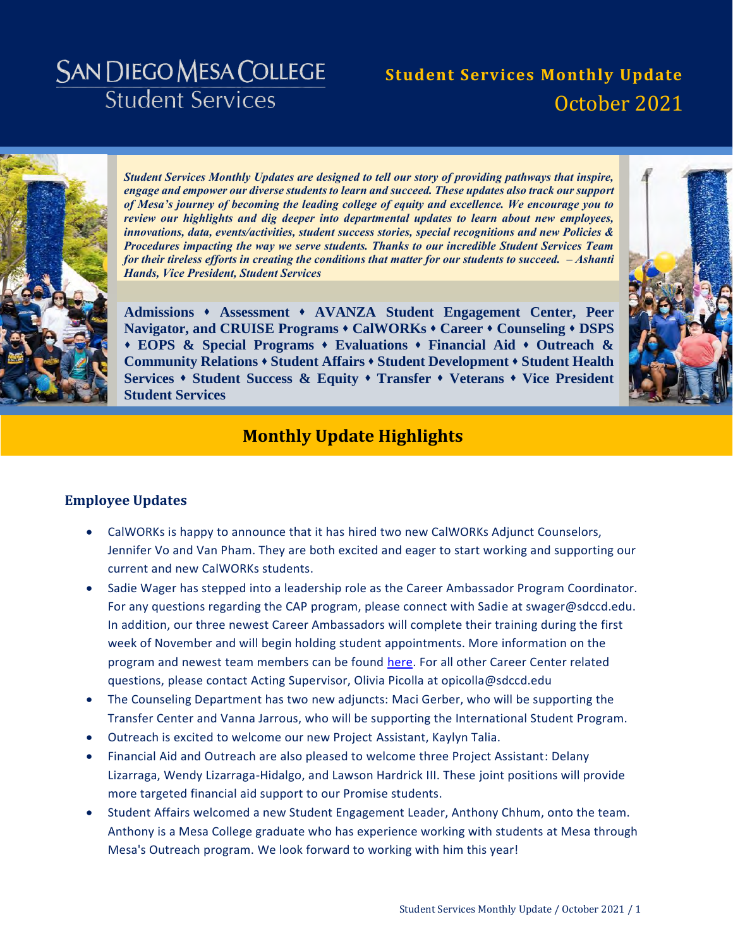# **SAN DIEGO MESA COLLEGE Student Services**

# **Student Services Monthly Update** October 2021



*Student Services Monthly Updates are designed to tell our story of providing pathways that inspire, engage and empower our diverse students to learn and succeed. These updates also track our support of Mesa's journey of becoming the leading college of equity and excellence. We encourage you to review our highlights and dig deeper into departmental updates to learn about new employees, innovations, data, events/activities, student success stories, special recognitions and new Policies & Procedures impacting the way we serve students. Thanks to our incredible Student Services Team for their tireless efforts in creating the conditions that matter for our students to succeed. – Ashanti Hands, Vice President, Student Services* 

**[Admissions](#page-4-0) [Assessment](#page-5-0) [AVANZA Student Engagement Center,](#page-6-0) [Peer](#page-6-1)  [Navigator, and CRUISE Programs](#page-6-1) [CalWORKs](#page-7-0) [Career](#page-8-0) [Counseling](#page-10-0) [DSPS](#page-11-0) [EOPS & Special Programs](#page-12-0) [Evaluations](#page-17-0) [Financial Aid](#page-19-0) [Outreach &](#page-20-0)  [Community Relations](#page-20-0) [Student Affairs](#page-22-0) [Student Development](#page-23-0) [Student Health](#page-24-0)  [Services](#page-24-0) [Student Success & Equity](#page-25-0) [Transfer](#page-27-0) [Veterans](#page-28-0) [Vice President](#page-29-0)  [Student Services](#page-29-0)**



### **Monthly Update Highlights**

### **Employee Updates**

- CalWORKs is happy to announce that it has hired two new CalWORKs Adjunct Counselors, Jennifer Vo and Van Pham. They are both excited and eager to start working and supporting our current and new CalWORKs students.
- Sadie Wager has stepped into a leadership role as the Career Ambassador Program Coordinator. For any questions regarding the CAP program, please connect with Sadie at swager@sdccd.edu. In addition, our three newest Career Ambassadors will complete their training during the first week of November and will begin holding student appointments. More information on the program and newest team members can be found [here.](https://www.sdmesa.edu/student-services/career-center/career-peer-ambassadors.shtml) For all other Career Center related questions, please contact Acting Supervisor, Olivia Picolla at opicolla@sdccd.edu
- The Counseling Department has two new adjuncts: Maci Gerber, who will be supporting the Transfer Center and Vanna Jarrous, who will be supporting the International Student Program.
- Outreach is excited to welcome our new Project Assistant, Kaylyn Talia.
- Financial Aid and Outreach are also pleased to welcome three Project Assistant: Delany Lizarraga, Wendy Lizarraga-Hidalgo, and Lawson Hardrick III. These joint positions will provide more targeted financial aid support to our Promise students.
- Student Affairs welcomed a new Student Engagement Leader, Anthony Chhum, onto the team. Anthony is a Mesa College graduate who has experience working with students at Mesa through Mesa's Outreach program. We look forward to working with him this year!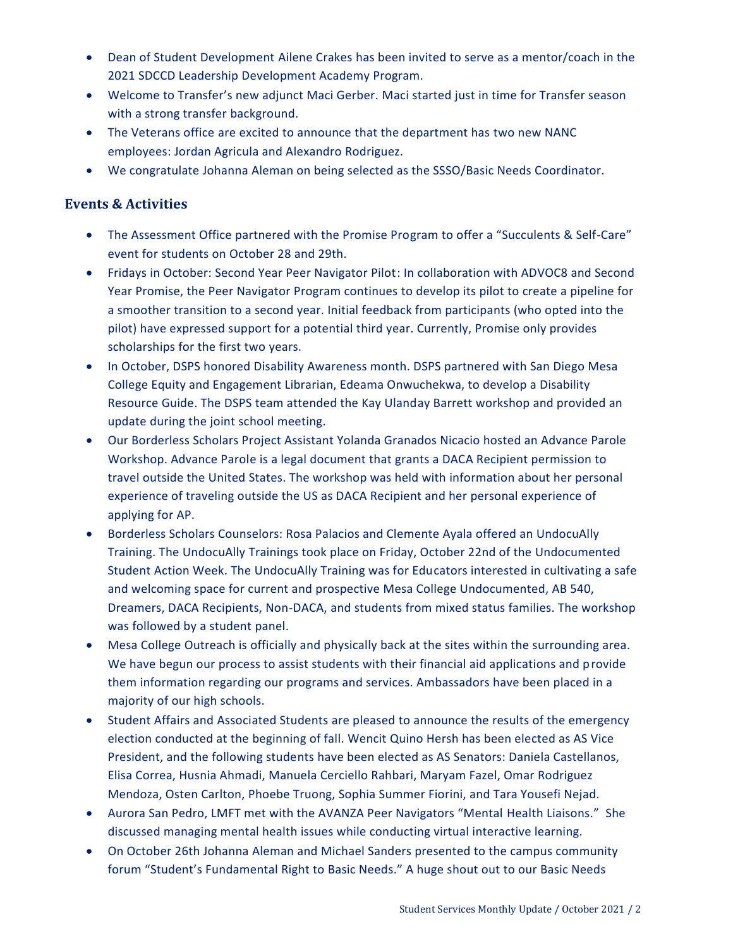- Dean of Student Development Ailene Crakes has been invited to serve as a mentor/coach in the 2021 SDCCD Leadership Development Academy Program.
- Welcome to Transfer's new adjunct Maci Gerber. Maci started just in time for Transfer season with a strong transfer background.
- The Veterans office are excited to announce that the department has two new NANC employees: Jordan Agricula and Alexandro Rodriguez.
- We congratulate Johanna Aleman on being selected as the SSSO/Basic Needs Coordinator.

### **Events & Activities**

- The Assessment Office partnered with the Promise Program to offer a "Succulents & Self-Care" event for students on October 28 and 29th.
- Fridays in October: Second Year Peer Navigator Pilot: In collaboration with ADVOC8 and Second Year Promise, the Peer Navigator Program continues to develop its pilot to create a pipeline for a smoother transition to a second year. Initial feedback from participants (who opted into the pilot) have expressed support for a potential third year. Currently, Promise only provides scholarships for the first two years.
- In October, DSPS honored Disability Awareness month. DSPS partnered with San Diego Mesa College Equity and Engagement Librarian, Edeama Onwuchekwa, to develop a Disability Resource Guide. The DSPS team attended the Kay Ulanday Barrett workshop and provided an update during the joint school meeting.
- Our Borderless Scholars Project Assistant Yolanda Granados Nicacio hosted an Advance Parole Workshop. Advance Parole is a legal document that grants a DACA Recipient permission to travel outside the United States. The workshop was held with information about her personal experience of traveling outside the US as DACA Recipient and her personal experience of applying for AP.
- Borderless Scholars Counselors: Rosa Palacios and Clemente Ayala offered an UndocuAlly Training. The UndocuAlly Trainings took place on Friday, October 22nd of the Undocumented Student Action Week. The UndocuAlly Training was for Educators interested in cultivating a safe and welcoming space for current and prospective Mesa College Undocumented, AB 540, Dreamers, DACA Recipients, Non-DACA, and students from mixed status families. The workshop was followed by a student panel.
- Mesa College Outreach is officially and physically back at the sites within the surrounding area. We have begun our process to assist students with their financial aid applications and provide them information regarding our programs and services. Ambassadors have been placed in a majority of our high schools.
- Student Affairs and Associated Students are pleased to announce the results of the emergency election conducted at the beginning of fall. Wencit Quino Hersh has been elected as AS Vice President, and the following students have been elected as AS Senators: Daniela Castellanos, Elisa Correa, Husnia Ahmadi, Manuela Cerciello Rahbari, Maryam Fazel, Omar Rodriguez Mendoza, Osten Carlton, Phoebe Truong, Sophia Summer Fiorini, and Tara Yousefi Nejad.
- Aurora San Pedro, LMFT met with the AVANZA Peer Navigators "Mental Health Liaisons." She discussed managing mental health issues while conducting virtual interactive learning.
- On October 26th Johanna Aleman and Michael Sanders presented to the campus community forum "Student's Fundamental Right to Basic Needs." A huge shout out to our Basic Needs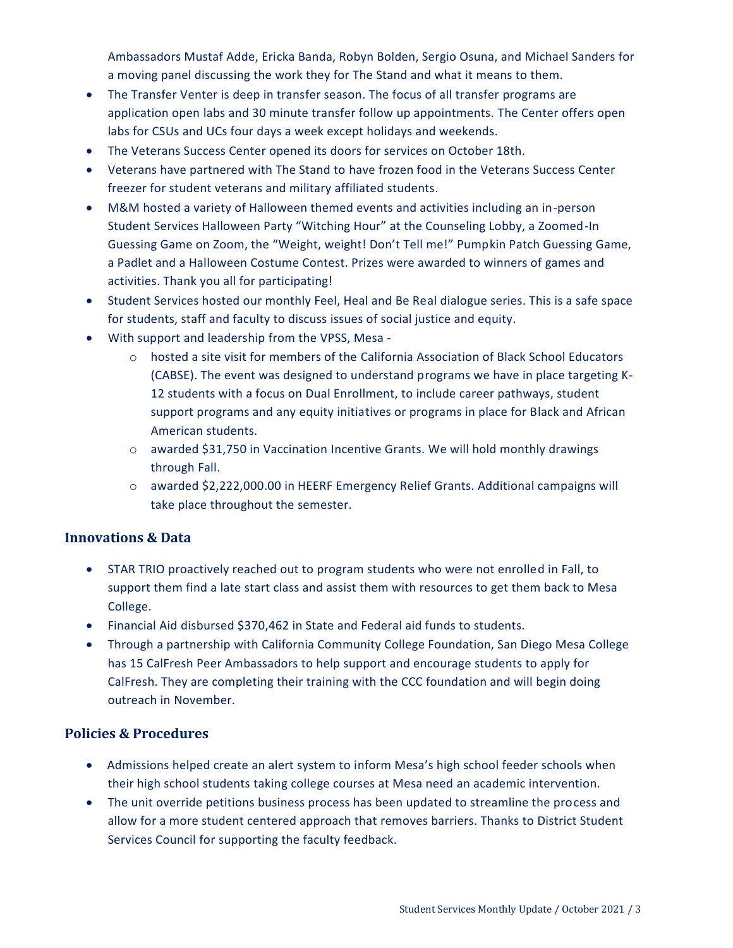Ambassadors Mustaf Adde, Ericka Banda, Robyn Bolden, Sergio Osuna, and Michael Sanders for a moving panel discussing the work they for The Stand and what it means to them.

- The Transfer Venter is deep in transfer season. The focus of all transfer programs are application open labs and 30 minute transfer follow up appointments. The Center offers open labs for CSUs and UCs four days a week except holidays and weekends.
- The Veterans Success Center opened its doors for services on October 18th.
- Veterans have partnered with The Stand to have frozen food in the Veterans Success Center freezer for student veterans and military affiliated students.
- M&M hosted a variety of Halloween themed events and activities including an in-person Student Services Halloween Party "Witching Hour" at the Counseling Lobby, a Zoomed-In Guessing Game on Zoom, the "Weight, weight! Don't Tell me!" Pumpkin Patch Guessing Game, a Padlet and a Halloween Costume Contest. Prizes were awarded to winners of games and activities. Thank you all for participating!
- Student Services hosted our monthly Feel, Heal and Be Real dialogue series. This is a safe space for students, staff and faculty to discuss issues of social justice and equity.
- With support and leadership from the VPSS, Mesa
	- o hosted a site visit for members of the California Association of Black School Educators (CABSE). The event was designed to understand programs we have in place targeting K-12 students with a focus on Dual Enrollment, to include career pathways, student support programs and any equity initiatives or programs in place for Black and African American students.
	- $\circ$  awarded \$31,750 in Vaccination Incentive Grants. We will hold monthly drawings through Fall.
	- o awarded \$2,222,000.00 in HEERF Emergency Relief Grants. Additional campaigns will take place throughout the semester.

### **Innovations & Data**

- STAR TRIO proactively reached out to program students who were not enrolled in Fall, to support them find a late start class and assist them with resources to get them back to Mesa College.
- Financial Aid disbursed \$370,462 in State and Federal aid funds to students.
- Through a partnership with California Community College Foundation, San Diego Mesa College has 15 CalFresh Peer Ambassadors to help support and encourage students to apply for CalFresh. They are completing their training with the CCC foundation and will begin doing outreach in November.

### **Policies & Procedures**

- Admissions helped create an alert system to inform Mesa's high school feeder schools when their high school students taking college courses at Mesa need an academic intervention.
- The unit override petitions business process has been updated to streamline the process and allow for a more student centered approach that removes barriers. Thanks to District Student Services Council for supporting the faculty feedback.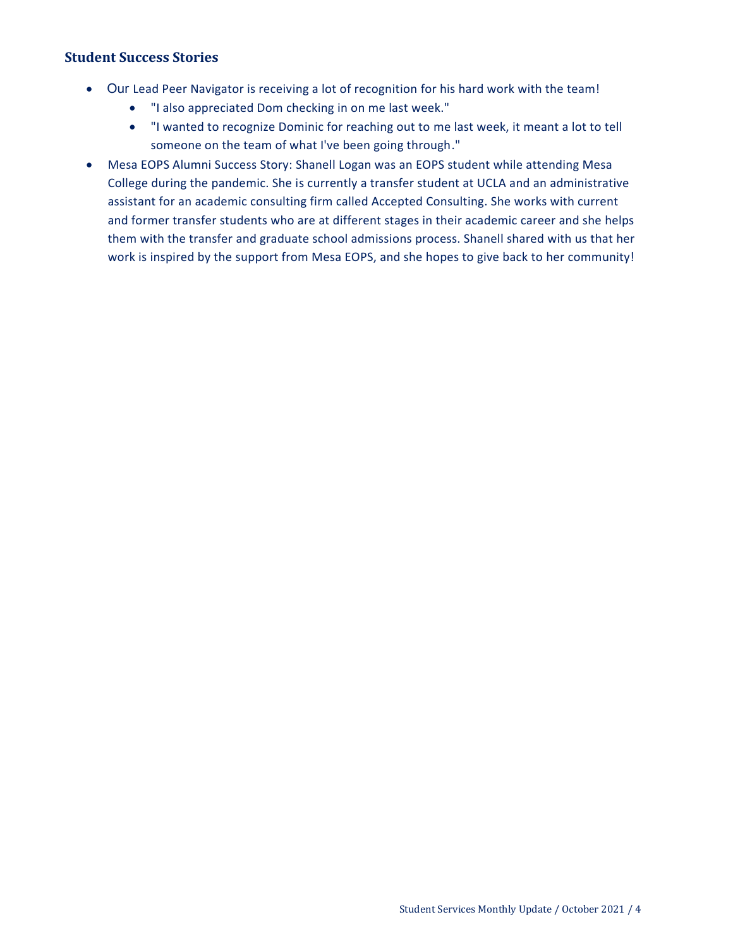### **Student Success Stories**

- Our Lead Peer Navigator is receiving a lot of recognition for his hard work with the team!
	- "I also appreciated Dom checking in on me last week."
	- "I wanted to recognize Dominic for reaching out to me last week, it meant a lot to tell someone on the team of what I've been going through."
- Mesa EOPS Alumni Success Story: Shanell Logan was an EOPS student while attending Mesa College during the pandemic. She is currently a transfer student at UCLA and an administrative assistant for an academic consulting firm called Accepted Consulting. She works with current and former transfer students who are at different stages in their academic career and she helps them with the transfer and graduate school admissions process. Shanell shared with us that her work is inspired by the support from Mesa EOPS, and she hopes to give back to her community!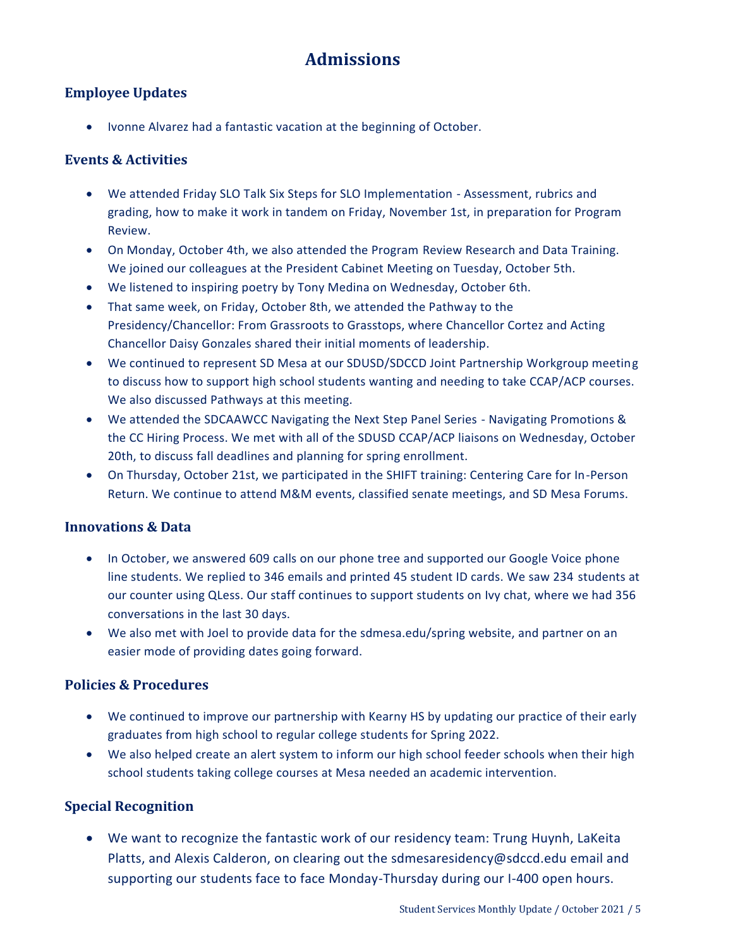# **Admissions**

### <span id="page-4-0"></span>**Employee Updates**

• Ivonne Alvarez had a fantastic vacation at the beginning of October.

### **Events & Activities**

- We attended Friday SLO Talk Six Steps for SLO Implementation Assessment, rubrics and grading, how to make it work in tandem on Friday, November 1st, in preparation for Program Review.
- On Monday, October 4th, we also attended the Program Review Research and Data Training. We joined our colleagues at the President Cabinet Meeting on Tuesday, October 5th.
- We listened to inspiring poetry by Tony Medina on Wednesday, October 6th.
- That same week, on Friday, October 8th, we attended the Pathway to the Presidency/Chancellor: From Grassroots to Grasstops, where Chancellor Cortez and Acting Chancellor Daisy Gonzales shared their initial moments of leadership.
- We continued to represent SD Mesa at our SDUSD/SDCCD Joint Partnership Workgroup meeting to discuss how to support high school students wanting and needing to take CCAP/ACP courses. We also discussed Pathways at this meeting.
- We attended the SDCAAWCC Navigating the Next Step Panel Series Navigating Promotions & the CC Hiring Process. We met with all of the SDUSD CCAP/ACP liaisons on Wednesday, October 20th, to discuss fall deadlines and planning for spring enrollment.
- On Thursday, October 21st, we participated in the SHIFT training: Centering Care for In-Person Return. We continue to attend M&M events, classified senate meetings, and SD Mesa Forums.

### **Innovations & Data**

- In October, we answered 609 calls on our phone tree and supported our Google Voice phone line students. We replied to 346 emails and printed 45 student ID cards. We saw 234 students at our counter using QLess. Our staff continues to support students on Ivy chat, where we had 356 conversations in the last 30 days.
- We also met with Joel to provide data for the sdmesa.edu/spring website, and partner on an easier mode of providing dates going forward.

### **Policies & Procedures**

- We continued to improve our partnership with Kearny HS by updating our practice of their early graduates from high school to regular college students for Spring 2022.
- We also helped create an alert system to inform our high school feeder schools when their high school students taking college courses at Mesa needed an academic intervention.

### **Special Recognition**

 We want to recognize the fantastic work of our residency team: Trung Huynh, LaKeita Platts, and Alexis Calderon, on clearing out the sdmesaresidency@sdccd.edu email and supporting our students face to face Monday-Thursday during our I-400 open hours.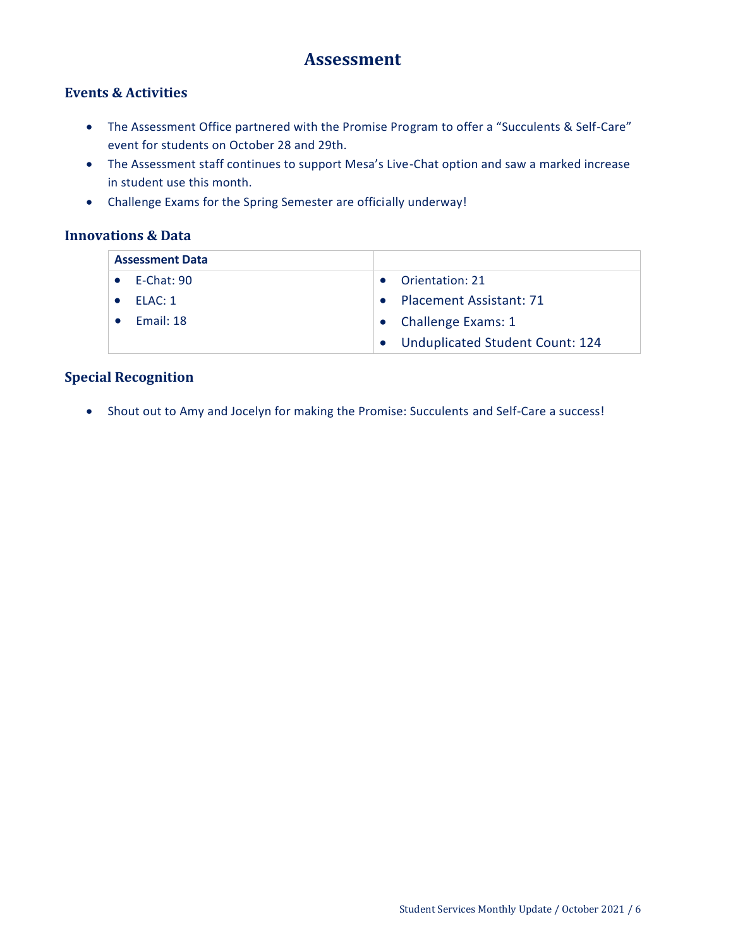### **Assessment**

### <span id="page-5-0"></span>**Events & Activities**

- The Assessment Office partnered with the Promise Program to offer a "Succulents & Self-Care" event for students on October 28 and 29th.
- The Assessment staff continues to support Mesa's Live-Chat option and saw a marked increase in student use this month.
- Challenge Exams for the Spring Semester are officially underway!

### **Innovations & Data**

| <b>Assessment Data</b> |                      |                                   |
|------------------------|----------------------|-----------------------------------|
|                        | $\bullet$ F-Chat: 90 | Orientation: 21                   |
|                        | ELAC: 1              | <b>Placement Assistant: 71</b>    |
|                        | Fmail: 18            | • Challenge Exams: 1              |
|                        |                      | • Unduplicated Student Count: 124 |

### **Special Recognition**

Shout out to Amy and Jocelyn for making the Promise: Succulents and Self-Care a success!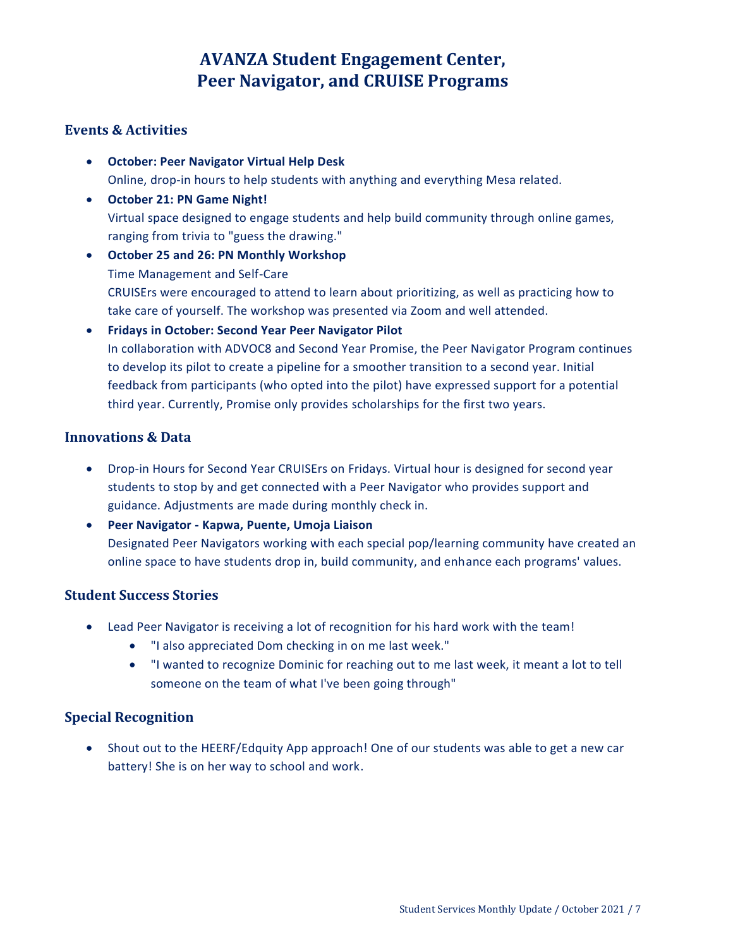## **AVANZA Student Engagement Center, Peer Navigator, and CRUISE Programs**

### <span id="page-6-1"></span><span id="page-6-0"></span>**Events & Activities**

- **October: Peer Navigator Virtual Help Desk** Online, drop-in hours to help students with anything and everything Mesa related.
- **October 21: PN Game Night!**  Virtual space designed to engage students and help build community through online games, ranging from trivia to "guess the drawing."
- **October 25 and 26: PN Monthly Workshop**  Time Management and Self-Care CRUISErs were encouraged to attend to learn about prioritizing, as well as practicing how to take care of yourself. The workshop was presented via Zoom and well attended.
- **Fridays in October: Second Year Peer Navigator Pilot** In collaboration with ADVOC8 and Second Year Promise, the Peer Navigator Program continues to develop its pilot to create a pipeline for a smoother transition to a second year. Initial feedback from participants (who opted into the pilot) have expressed support for a potential third year. Currently, Promise only provides scholarships for the first two years.

### **Innovations & Data**

- Drop-in Hours for Second Year CRUISErs on Fridays. Virtual hour is designed for second year students to stop by and get connected with a Peer Navigator who provides support and guidance. Adjustments are made during monthly check in.
- **Peer Navigator - Kapwa, Puente, Umoja Liaison** Designated Peer Navigators working with each special pop/learning community have created an online space to have students drop in, build community, and enhance each programs' values.

### **Student Success Stories**

- Lead Peer Navigator is receiving a lot of recognition for his hard work with the team!
	- "I also appreciated Dom checking in on me last week."
	- "I wanted to recognize Dominic for reaching out to me last week, it meant a lot to tell someone on the team of what I've been going through"

### **Special Recognition**

 Shout out to the HEERF/Edquity App approach! One of our students was able to get a new car battery! She is on her way to school and work.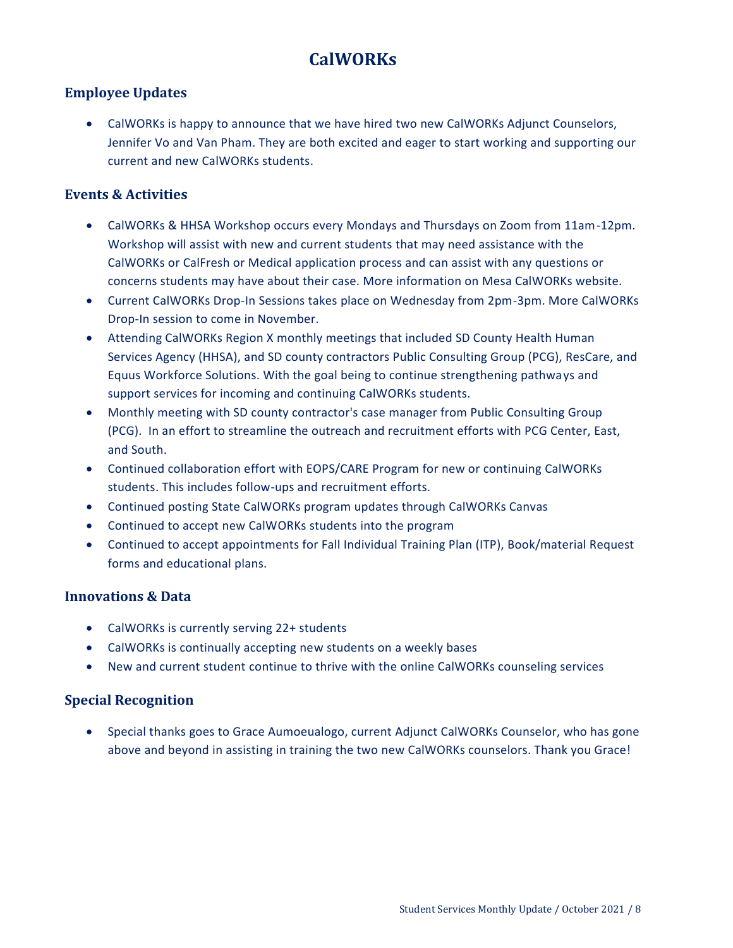# **CalWORKs**

### <span id="page-7-0"></span>**Employee Updates**

 CalWORKs is happy to announce that we have hired two new CalWORKs Adjunct Counselors, Jennifer Vo and Van Pham. They are both excited and eager to start working and supporting our current and new CalWORKs students.

### **Events & Activities**

- CalWORKs & HHSA Workshop occurs every Mondays and Thursdays on Zoom from 11am-12pm. Workshop will assist with new and current students that may need assistance with the CalWORKs or CalFresh or Medical application process and can assist with any questions or concerns students may have about their case. More information on Mesa CalWORKs website.
- Current CalWORKs Drop-In Sessions takes place on Wednesday from 2pm-3pm. More CalWORKs Drop-In session to come in November.
- Attending CalWORKs Region X monthly meetings that included SD County Health Human Services Agency (HHSA), and SD county contractors Public Consulting Group (PCG), ResCare, and Equus Workforce Solutions. With the goal being to continue strengthening pathways and support services for incoming and continuing CalWORKs students.
- Monthly meeting with SD county contractor's case manager from Public Consulting Group (PCG). In an effort to streamline the outreach and recruitment efforts with PCG Center, East, and South.
- Continued collaboration effort with EOPS/CARE Program for new or continuing CalWORKs students. This includes follow-ups and recruitment efforts.
- Continued posting State CalWORKs program updates through CalWORKs Canvas
- Continued to accept new CalWORKs students into the program
- Continued to accept appointments for Fall Individual Training Plan (ITP), Book/material Request forms and educational plans.

### **Innovations & Data**

- CalWORKs is currently serving 22+ students
- CalWORKs is continually accepting new students on a weekly bases
- New and current student continue to thrive with the online CalWORKs counseling services

### **Special Recognition**

 Special thanks goes to Grace Aumoeualogo, current Adjunct CalWORKs Counselor, who has gone above and beyond in assisting in training the two new CalWORKs counselors. Thank you Grace!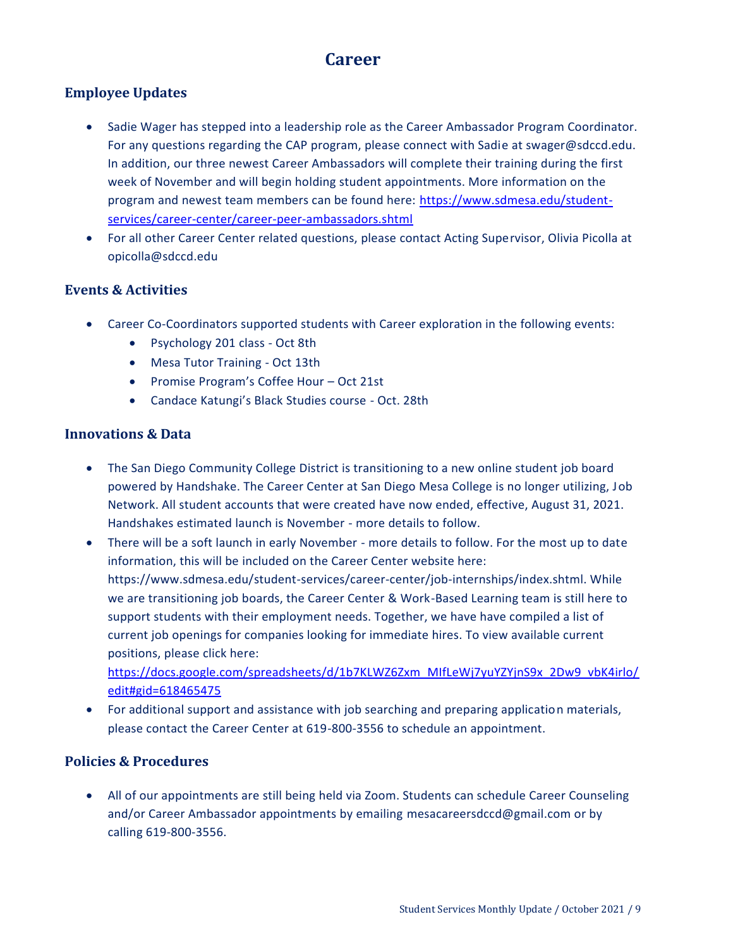### **Career**

### <span id="page-8-0"></span>**Employee Updates**

- Sadie Wager has stepped into a leadership role as the Career Ambassador Program Coordinator. For any questions regarding the CAP program, please connect with Sadie at swager@sdccd.edu. In addition, our three newest Career Ambassadors will complete their training during the first week of November and will begin holding student appointments. More information on the program and newest team members can be found here: [https://www.sdmesa.edu/student](https://www.sdmesa.edu/student-services/career-center/career-peer-ambassadors.shtml)[services/career-center/career-peer-ambassadors.shtml](https://www.sdmesa.edu/student-services/career-center/career-peer-ambassadors.shtml)
- For all other Career Center related questions, please contact Acting Supervisor, Olivia Picolla at opicolla@sdccd.edu

### **Events & Activities**

- Career Co-Coordinators supported students with Career exploration in the following events:
	- Psychology 201 class Oct 8th
	- Mesa Tutor Training Oct 13th
	- Promise Program's Coffee Hour Oct 21st
	- Candace Katungi's Black Studies course Oct. 28th

### **Innovations & Data**

- The San Diego Community College District is transitioning to a new online student job board powered by Handshake. The Career Center at San Diego Mesa College is no longer utilizing, Job Network. All student accounts that were created have now ended, effective, August 31, 2021. Handshakes estimated launch is November - more details to follow.
- There will be a soft launch in early November more details to follow. For the most up to date information, this will be included on the Career Center website here: https://www.sdmesa.edu/student-services/career-center/job-internships/index.shtml. While we are transitioning job boards, the Career Center & Work-Based Learning team is still here to support students with their employment needs. Together, we have have compiled a list of current job openings for companies looking for immediate hires. To view available current positions, please click here:

[https://docs.google.com/spreadsheets/d/1b7KLWZ6Zxm\\_MIfLeWj7yuYZYjnS9x\\_2Dw9\\_vbK4irlo/](https://docs.google.com/spreadsheets/d/1b7KLWZ6Zxm_MIfLeWj7yuYZYjnS9x_2Dw9_vbK4irlo/edit#gid=618465475) [edit#gid=618465475](https://docs.google.com/spreadsheets/d/1b7KLWZ6Zxm_MIfLeWj7yuYZYjnS9x_2Dw9_vbK4irlo/edit#gid=618465475)

• For additional support and assistance with job searching and preparing application materials, please contact the Career Center at 619-800-3556 to schedule an appointment.

### **Policies & Procedures**

 All of our appointments are still being held via Zoom. Students can schedule Career Counseling and/or Career Ambassador appointments by emailing mesacareersdccd@gmail.com or by calling 619-800-3556.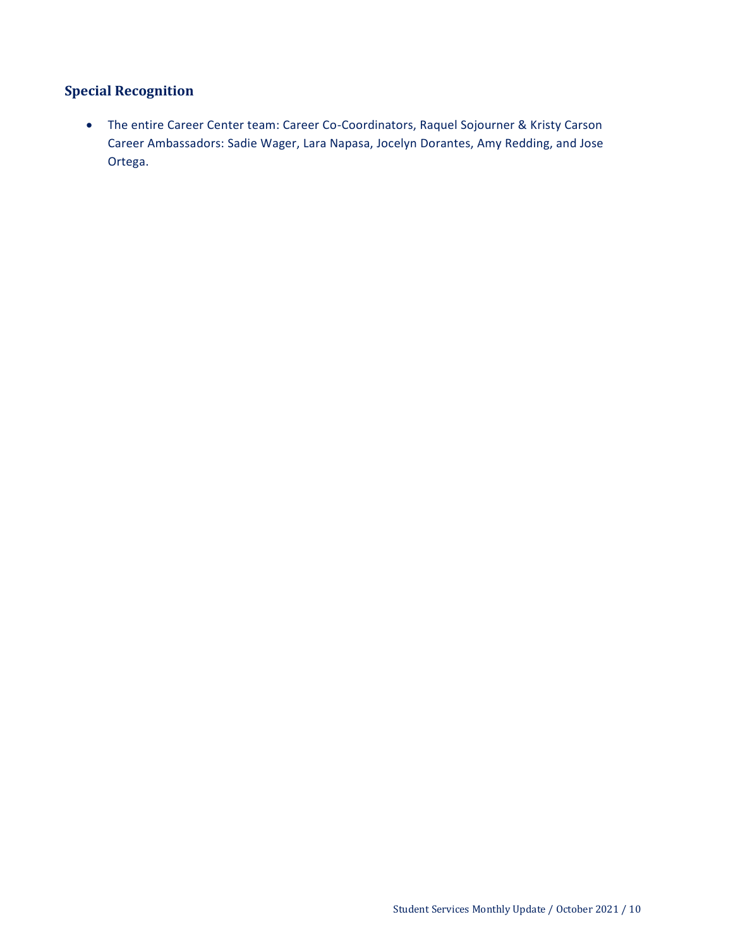### **Special Recognition**

 The entire Career Center team: Career Co-Coordinators, Raquel Sojourner & Kristy Carson Career Ambassadors: Sadie Wager, Lara Napasa, Jocelyn Dorantes, Amy Redding, and Jose Ortega.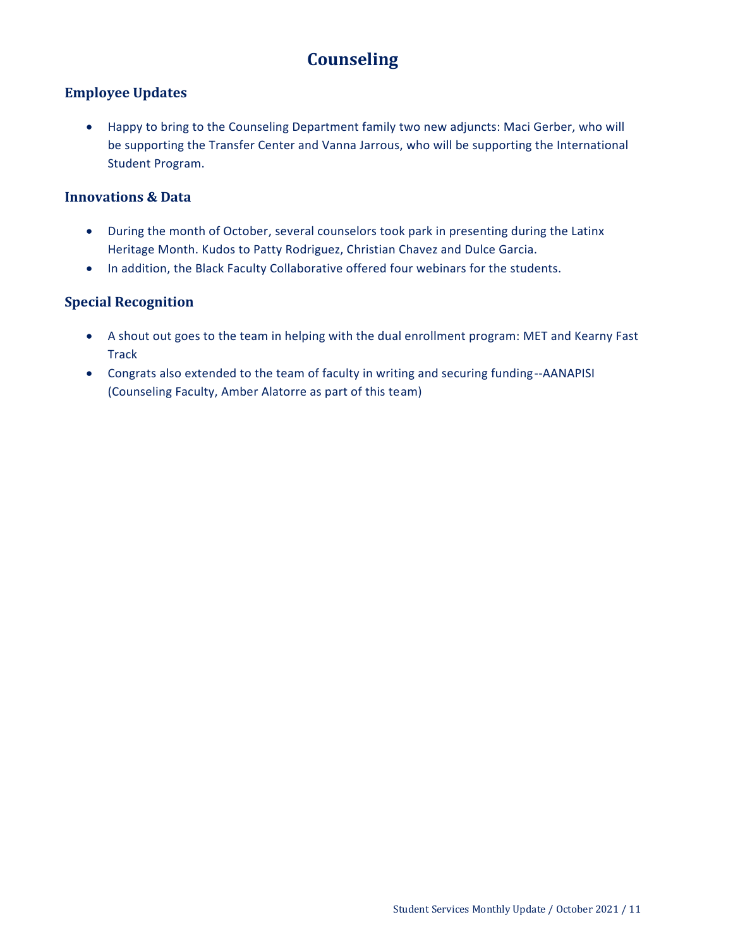# **Counseling**

### <span id="page-10-0"></span>**Employee Updates**

 Happy to bring to the Counseling Department family two new adjuncts: Maci Gerber, who will be supporting the Transfer Center and Vanna Jarrous, who will be supporting the International Student Program.

### **Innovations & Data**

- During the month of October, several counselors took park in presenting during the Latinx Heritage Month. Kudos to Patty Rodriguez, Christian Chavez and Dulce Garcia.
- In addition, the Black Faculty Collaborative offered four webinars for the students.

### **Special Recognition**

- A shout out goes to the team in helping with the dual enrollment program: MET and Kearny Fast **Track**
- Congrats also extended to the team of faculty in writing and securing funding--AANAPISI (Counseling Faculty, Amber Alatorre as part of this team)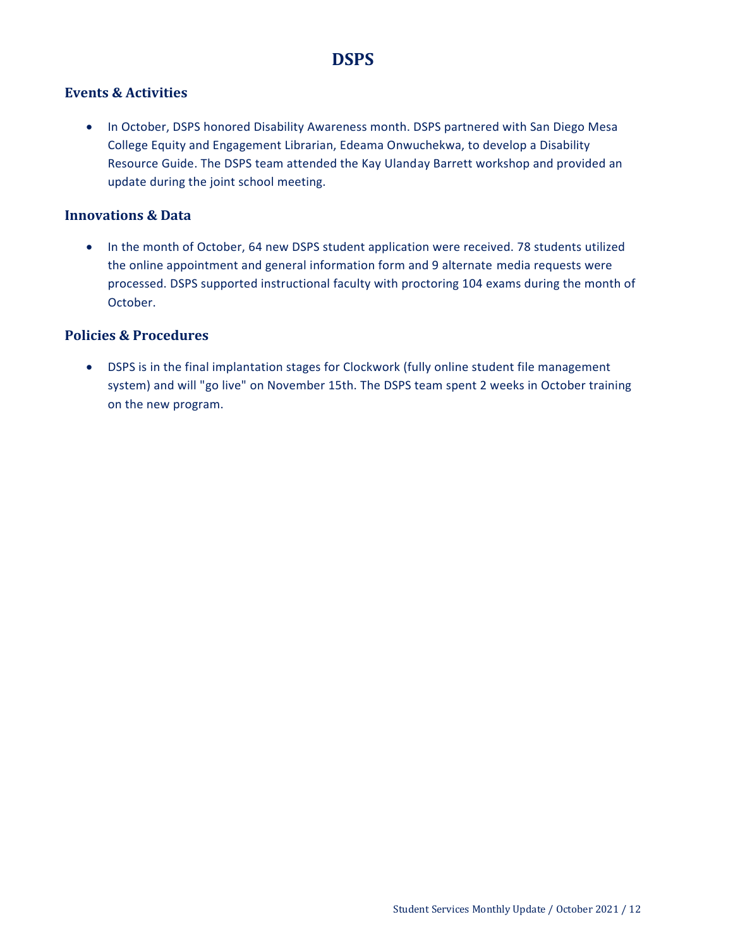### **DSPS**

### <span id="page-11-0"></span>**Events & Activities**

• In October, DSPS honored Disability Awareness month. DSPS partnered with San Diego Mesa College Equity and Engagement Librarian, Edeama Onwuchekwa, to develop a Disability Resource Guide. The DSPS team attended the Kay Ulanday Barrett workshop and provided an update during the joint school meeting.

### **Innovations & Data**

• In the month of October, 64 new DSPS student application were received. 78 students utilized the online appointment and general information form and 9 alternate media requests were processed. DSPS supported instructional faculty with proctoring 104 exams during the month of October.

### **Policies & Procedures**

 DSPS is in the final implantation stages for Clockwork (fully online student file management system) and will "go live" on November 15th. The DSPS team spent 2 weeks in October training on the new program.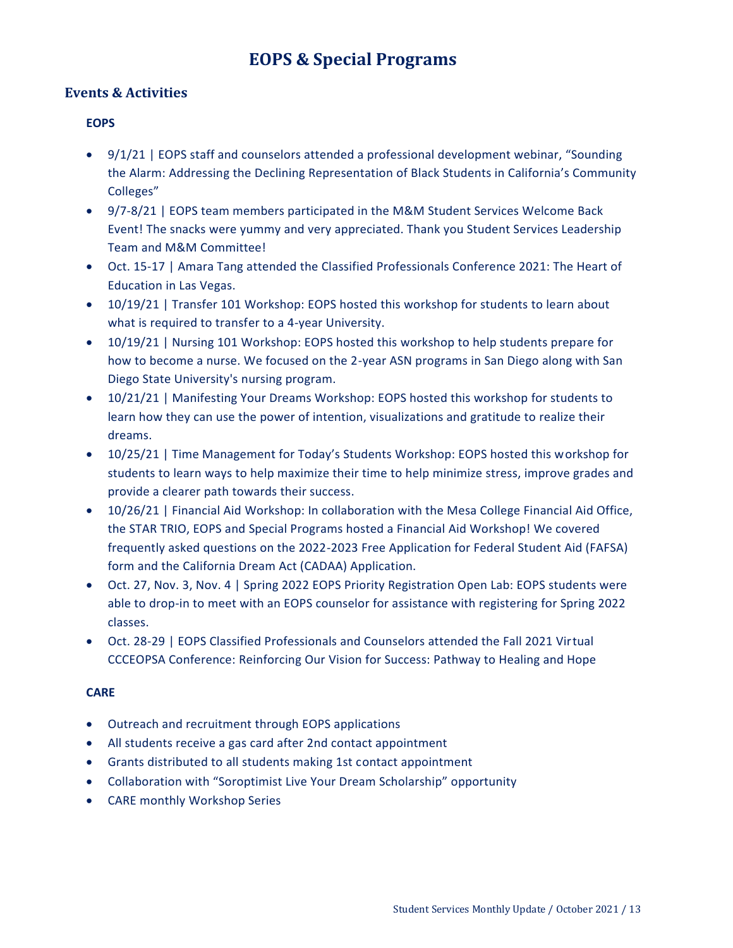## **EOPS & Special Programs**

### <span id="page-12-0"></span>**Events & Activities**

#### **EOPS**

- 9/1/21 | EOPS staff and counselors attended a professional development webinar, "Sounding the Alarm: Addressing the Declining Representation of Black Students in California's Community Colleges"
- 9/7-8/21 | EOPS team members participated in the M&M Student Services Welcome Back Event! The snacks were yummy and very appreciated. Thank you Student Services Leadership Team and M&M Committee!
- Oct. 15-17 | Amara Tang attended the Classified Professionals Conference 2021: The Heart of Education in Las Vegas.
- 10/19/21 | Transfer 101 Workshop: EOPS hosted this workshop for students to learn about what is required to transfer to a 4-year University.
- 10/19/21 | Nursing 101 Workshop: EOPS hosted this workshop to help students prepare for how to become a nurse. We focused on the 2-year ASN programs in San Diego along with San Diego State University's nursing program.
- 10/21/21 | Manifesting Your Dreams Workshop: EOPS hosted this workshop for students to learn how they can use the power of intention, visualizations and gratitude to realize their dreams.
- 10/25/21 | Time Management for Today's Students Workshop: EOPS hosted this workshop for students to learn ways to help maximize their time to help minimize stress, improve grades and provide a clearer path towards their success.
- 10/26/21 | Financial Aid Workshop: In collaboration with the Mesa College Financial Aid Office, the STAR TRIO, EOPS and Special Programs hosted a Financial Aid Workshop! We covered frequently asked questions on the 2022-2023 Free Application for Federal Student Aid (FAFSA) form and the California Dream Act (CADAA) Application.
- Oct. 27, Nov. 3, Nov. 4 | Spring 2022 EOPS Priority Registration Open Lab: EOPS students were able to drop-in to meet with an EOPS counselor for assistance with registering for Spring 2022 classes.
- Oct. 28-29 | EOPS Classified Professionals and Counselors attended the Fall 2021 Virtual CCCEOPSA Conference: Reinforcing Our Vision for Success: Pathway to Healing and Hope

#### **CARE**

- Outreach and recruitment through EOPS applications
- All students receive a gas card after 2nd contact appointment
- Grants distributed to all students making 1st contact appointment
- Collaboration with "Soroptimist Live Your Dream Scholarship" opportunity
- CARE monthly Workshop Series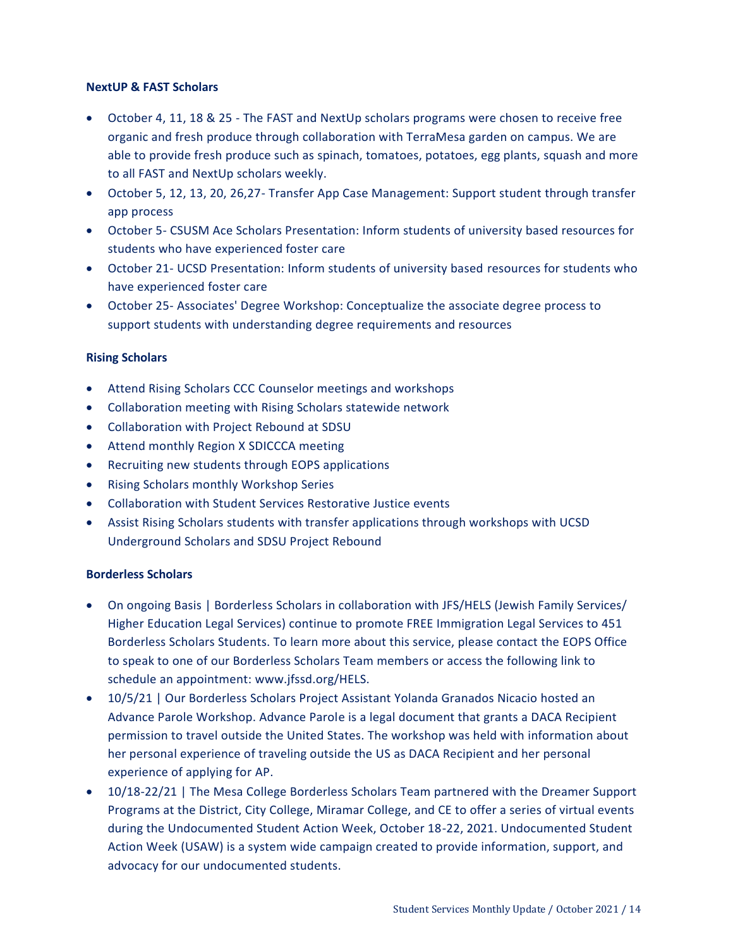#### **NextUP & FAST Scholars**

- October 4, 11, 18 & 25 The FAST and NextUp scholars programs were chosen to receive free organic and fresh produce through collaboration with TerraMesa garden on campus. We are able to provide fresh produce such as spinach, tomatoes, potatoes, egg plants, squash and more to all FAST and NextUp scholars weekly.
- October 5, 12, 13, 20, 26,27- Transfer App Case Management: Support student through transfer app process
- October 5- CSUSM Ace Scholars Presentation: Inform students of university based resources for students who have experienced foster care
- October 21- UCSD Presentation: Inform students of university based resources for students who have experienced foster care
- October 25- Associates' Degree Workshop: Conceptualize the associate degree process to support students with understanding degree requirements and resources

#### **Rising Scholars**

- Attend Rising Scholars CCC Counselor meetings and workshops
- Collaboration meeting with Rising Scholars statewide network
- Collaboration with Project Rebound at SDSU
- Attend monthly Region X SDICCCA meeting
- Recruiting new students through EOPS applications
- Rising Scholars monthly Workshop Series
- Collaboration with Student Services Restorative Justice events
- Assist Rising Scholars students with transfer applications through workshops with UCSD Underground Scholars and SDSU Project Rebound

#### **Borderless Scholars**

- On ongoing Basis | Borderless Scholars in collaboration with JFS/HELS (Jewish Family Services/ Higher Education Legal Services) continue to promote FREE Immigration Legal Services to 451 Borderless Scholars Students. To learn more about this service, please contact the EOPS Office to speak to one of our Borderless Scholars Team members or access the following link to schedule an appointment: www.jfssd.org/HELS.
- 10/5/21 | Our Borderless Scholars Project Assistant Yolanda Granados Nicacio hosted an Advance Parole Workshop. Advance Parole is a legal document that grants a DACA Recipient permission to travel outside the United States. The workshop was held with information about her personal experience of traveling outside the US as DACA Recipient and her personal experience of applying for AP.
- 10/18-22/21 | The Mesa College Borderless Scholars Team partnered with the Dreamer Support Programs at the District, City College, Miramar College, and CE to offer a series of virtual events during the Undocumented Student Action Week, October 18-22, 2021. Undocumented Student Action Week (USAW) is a system wide campaign created to provide information, support, and advocacy for our undocumented students.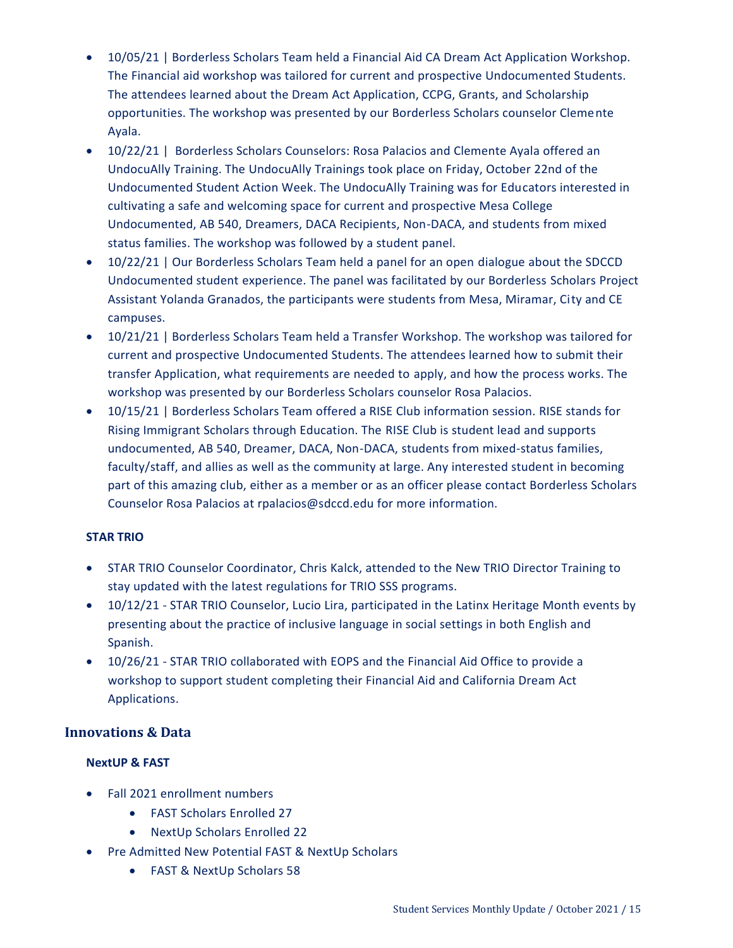- 10/05/21 | Borderless Scholars Team held a Financial Aid CA Dream Act Application Workshop. The Financial aid workshop was tailored for current and prospective Undocumented Students. The attendees learned about the Dream Act Application, CCPG, Grants, and Scholarship opportunities. The workshop was presented by our Borderless Scholars counselor Clemente Ayala.
- 10/22/21 | Borderless Scholars Counselors: Rosa Palacios and Clemente Ayala offered an UndocuAlly Training. The UndocuAlly Trainings took place on Friday, October 22nd of the Undocumented Student Action Week. The UndocuAlly Training was for Educators interested in cultivating a safe and welcoming space for current and prospective Mesa College Undocumented, AB 540, Dreamers, DACA Recipients, Non-DACA, and students from mixed status families. The workshop was followed by a student panel.
- 10/22/21 | Our Borderless Scholars Team held a panel for an open dialogue about the SDCCD Undocumented student experience. The panel was facilitated by our Borderless Scholars Project Assistant Yolanda Granados, the participants were students from Mesa, Miramar, City and CE campuses.
- 10/21/21 | Borderless Scholars Team held a Transfer Workshop. The workshop was tailored for current and prospective Undocumented Students. The attendees learned how to submit their transfer Application, what requirements are needed to apply, and how the process works. The workshop was presented by our Borderless Scholars counselor Rosa Palacios.
- 10/15/21 | Borderless Scholars Team offered a RISE Club information session. RISE stands for Rising Immigrant Scholars through Education. The RISE Club is student lead and supports undocumented, AB 540, Dreamer, DACA, Non-DACA, students from mixed-status families, faculty/staff, and allies as well as the community at large. Any interested student in becoming part of this amazing club, either as a member or as an officer please contact Borderless Scholars Counselor Rosa Palacios at rpalacios@sdccd.edu for more information.

### **STAR TRIO**

- STAR TRIO Counselor Coordinator, Chris Kalck, attended to the New TRIO Director Training to stay updated with the latest regulations for TRIO SSS programs.
- 10/12/21 STAR TRIO Counselor, Lucio Lira, participated in the Latinx Heritage Month events by presenting about the practice of inclusive language in social settings in both English and Spanish.
- 10/26/21 STAR TRIO collaborated with EOPS and the Financial Aid Office to provide a workshop to support student completing their Financial Aid and California Dream Act Applications.

### **Innovations & Data**

### **NextUP & FAST**

- Fall 2021 enrollment numbers
	- FAST Scholars Enrolled 27
	- NextUp Scholars Enrolled 22
- Pre Admitted New Potential FAST & NextUp Scholars
	- FAST & NextUp Scholars 58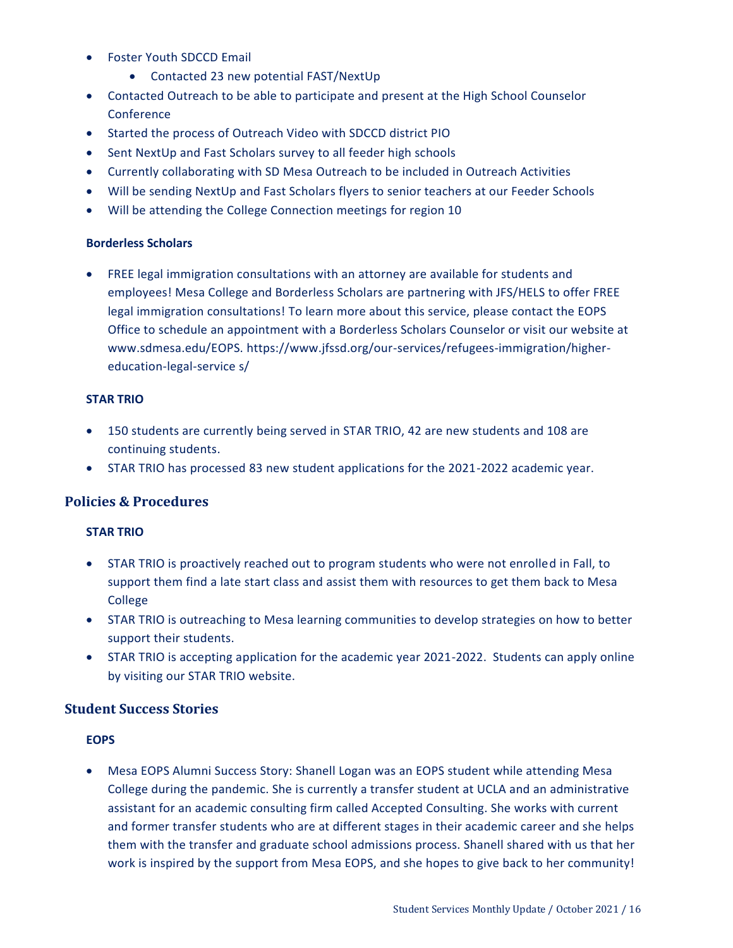- Foster Youth SDCCD Email
	- Contacted 23 new potential FAST/NextUp
- Contacted Outreach to be able to participate and present at the High School Counselor **Conference**
- Started the process of Outreach Video with SDCCD district PIO
- Sent NextUp and Fast Scholars survey to all feeder high schools
- Currently collaborating with SD Mesa Outreach to be included in Outreach Activities
- Will be sending NextUp and Fast Scholars flyers to senior teachers at our Feeder Schools
- Will be attending the College Connection meetings for region 10

#### **Borderless Scholars**

 FREE legal immigration consultations with an attorney are available for students and employees! Mesa College and Borderless Scholars are partnering with JFS/HELS to offer FREE legal immigration consultations! To learn more about this service, please contact the EOPS Office to schedule an appointment with a Borderless Scholars Counselor or visit our website at www.sdmesa.edu/EOPS. [https://www.jfssd.org/our-services/refugees-immigration/higher](https://www.jfssd.org/our-services/refugees-immigration/higher-education-legal-service%20s/)[education-legal-service s/](https://www.jfssd.org/our-services/refugees-immigration/higher-education-legal-service%20s/)

#### **STAR TRIO**

- 150 students are currently being served in STAR TRIO, 42 are new students and 108 are continuing students.
- STAR TRIO has processed 83 new student applications for the 2021-2022 academic year.

### **Policies & Procedures**

#### **STAR TRIO**

- STAR TRIO is proactively reached out to program students who were not enrolled in Fall, to support them find a late start class and assist them with resources to get them back to Mesa College
- STAR TRIO is outreaching to Mesa learning communities to develop strategies on how to better support their students.
- STAR TRIO is accepting application for the academic year 2021-2022. Students can apply online by visiting our STAR TRIO website.

#### **Student Success Stories**

#### **EOPS**

 Mesa EOPS Alumni Success Story: Shanell Logan was an EOPS student while attending Mesa College during the pandemic. She is currently a transfer student at UCLA and an administrative assistant for an academic consulting firm called Accepted Consulting. She works with current and former transfer students who are at different stages in their academic career and she helps them with the transfer and graduate school admissions process. Shanell shared with us that her work is inspired by the support from Mesa EOPS, and she hopes to give back to her community!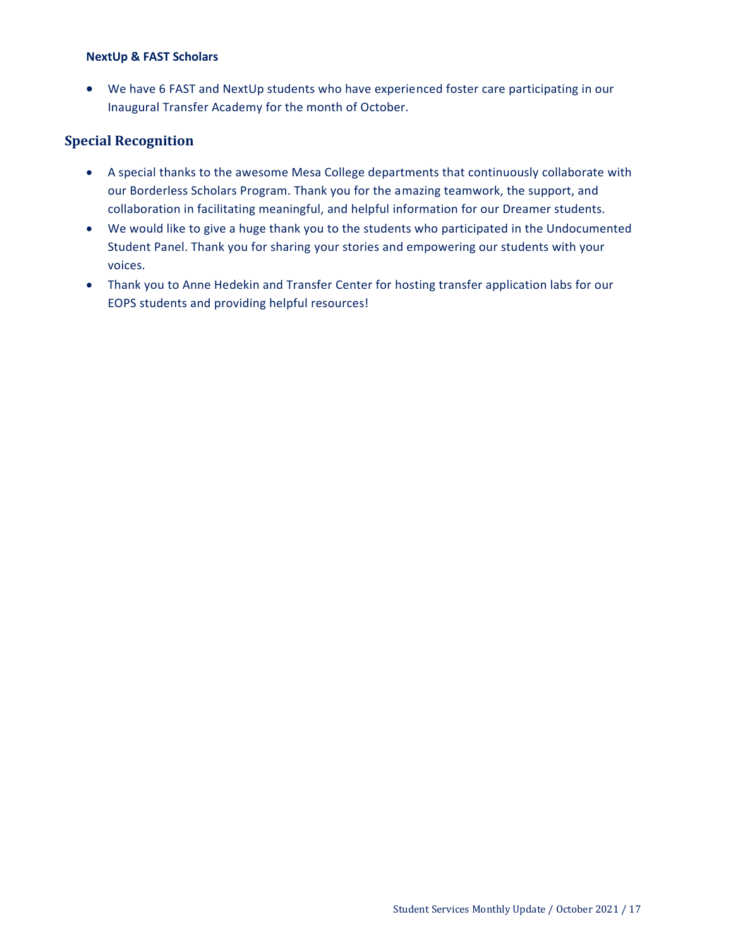#### **NextUp & FAST Scholars**

 We have 6 FAST and NextUp students who have experienced foster care participating in our Inaugural Transfer Academy for the month of October.

### **Special Recognition**

- A special thanks to the awesome Mesa College departments that continuously collaborate with our Borderless Scholars Program. Thank you for the amazing teamwork, the support, and collaboration in facilitating meaningful, and helpful information for our Dreamer students.
- We would like to give a huge thank you to the students who participated in the Undocumented Student Panel. Thank you for sharing your stories and empowering our students with your voices.
- Thank you to Anne Hedekin and Transfer Center for hosting transfer application labs for our EOPS students and providing helpful resources!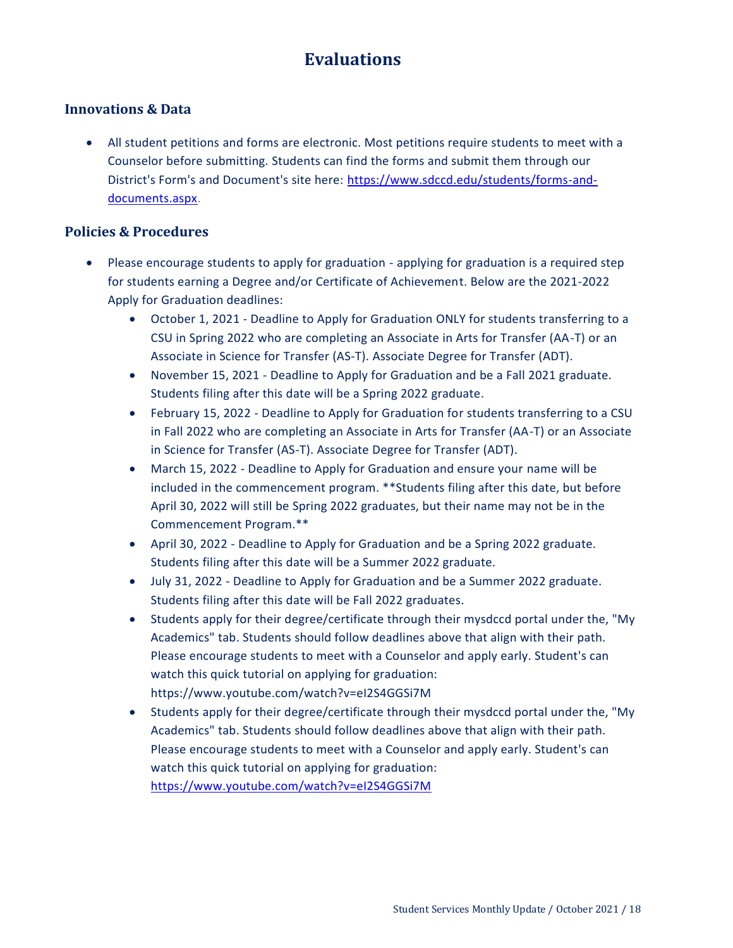# **Evaluations**

### <span id="page-17-0"></span>**Innovations & Data**

 All student petitions and forms are electronic. Most petitions require students to meet with a Counselor before submitting. Students can find the forms and submit them through our District's Form's and Document's site here: [https://www.sdccd.edu/students/forms-and](https://www.sdccd.edu/students/forms-and-documents.aspx)[documents.aspx.](https://www.sdccd.edu/students/forms-and-documents.aspx)

### **Policies & Procedures**

- Please encourage students to apply for graduation applying for graduation is a required step for students earning a Degree and/or Certificate of Achievement. Below are the 2021-2022 Apply for Graduation deadlines:
	- October 1, 2021 Deadline to Apply for Graduation ONLY for students transferring to a CSU in Spring 2022 who are completing an Associate in Arts for Transfer (AA-T) or an Associate in Science for Transfer (AS-T). Associate Degree for Transfer (ADT).
	- November 15, 2021 Deadline to Apply for Graduation and be a Fall 2021 graduate. Students filing after this date will be a Spring 2022 graduate.
	- February 15, 2022 Deadline to Apply for Graduation for students transferring to a CSU in Fall 2022 who are completing an Associate in Arts for Transfer (AA-T) or an Associate in Science for Transfer (AS-T). Associate Degree for Transfer (ADT).
	- March 15, 2022 Deadline to Apply for Graduation and ensure your name will be included in the commencement program. \*\*Students filing after this date, but before April 30, 2022 will still be Spring 2022 graduates, but their name may not be in the Commencement Program.\*\*
	- April 30, 2022 Deadline to Apply for Graduation and be a Spring 2022 graduate. Students filing after this date will be a Summer 2022 graduate.
	- July 31, 2022 Deadline to Apply for Graduation and be a Summer 2022 graduate. Students filing after this date will be Fall 2022 graduates.
	- Students apply for their degree/certificate through their mysdccd portal under the, "My Academics" tab. Students should follow deadlines above that align with their path. Please encourage students to meet with a Counselor and apply early. Student's can watch this quick tutorial on applying for graduation: https://www.youtube.com/watch?v=eI2S4GGSi7M
	- Students apply for their degree/certificate through their mysdccd portal under the, "My Academics" tab. Students should follow deadlines above that align with their path. Please encourage students to meet with a Counselor and apply early. Student's can watch this quick tutorial on applying for graduation: <https://www.youtube.com/watch?v=eI2S4GGSi7M>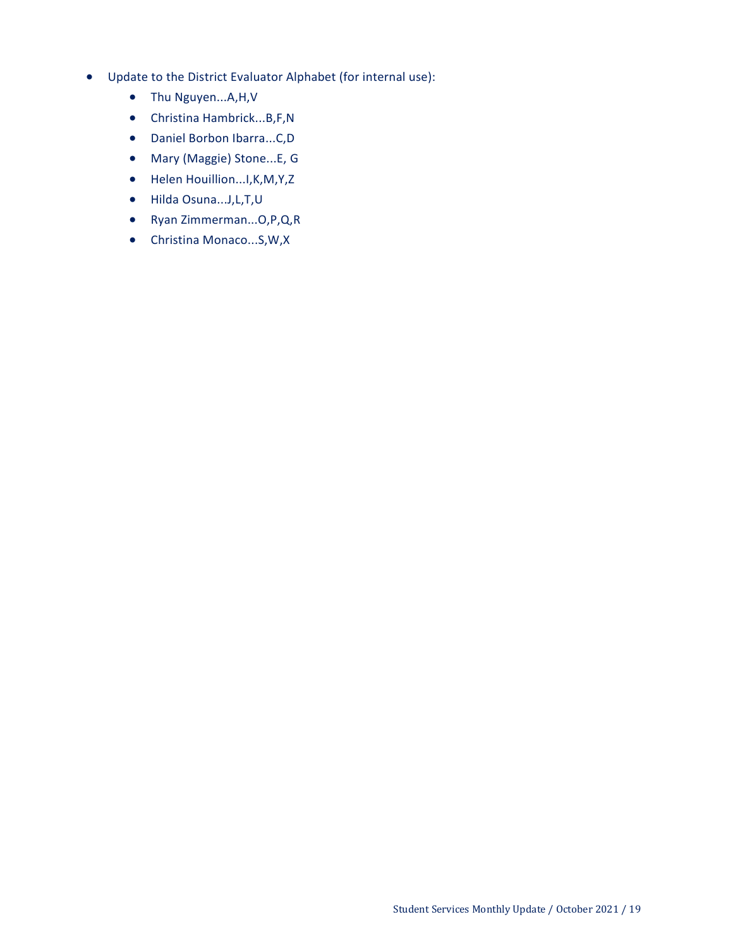- Update to the District Evaluator Alphabet (for internal use):
	- Thu Nguyen...A,H,V
	- Christina Hambrick...B,F,N
	- Daniel Borbon Ibarra...C,D
	- Mary (Maggie) Stone...E, G
	- Helen Houillion...I, K, M, Y, Z
	- Hilda Osuna...J,L,T,U
	- Ryan Zimmerman...O,P,Q,R
	- Christina Monaco...S,W,X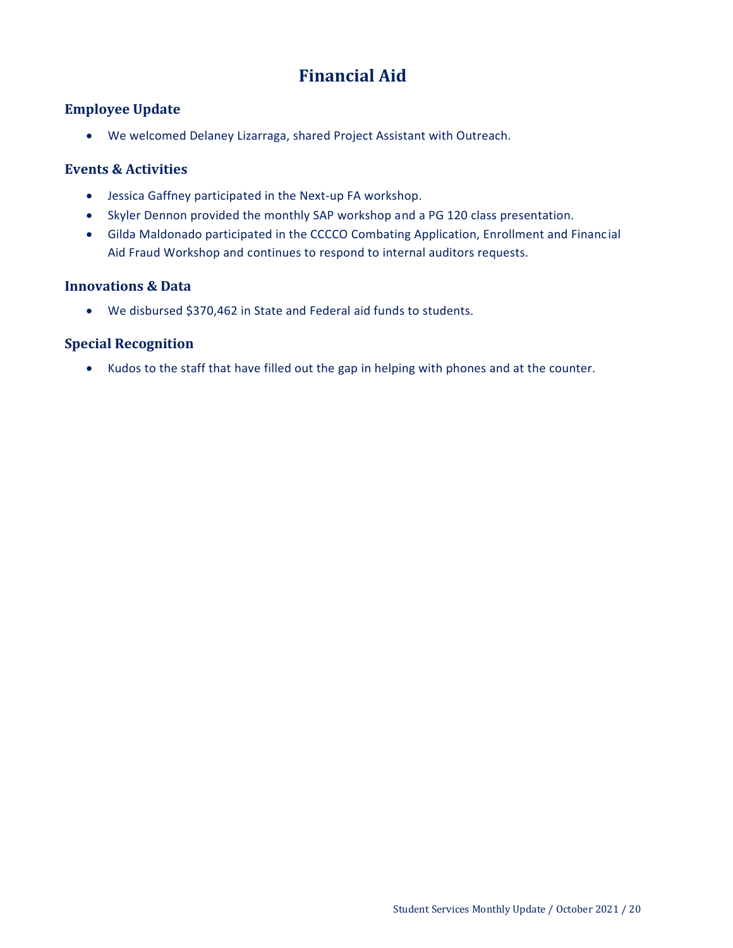# **Financial Aid**

### <span id="page-19-0"></span>**Employee Update**

We welcomed Delaney Lizarraga, shared Project Assistant with Outreach.

### **Events & Activities**

- Jessica Gaffney participated in the Next-up FA workshop.
- Skyler Dennon provided the monthly SAP workshop and a PG 120 class presentation.
- Gilda Maldonado participated in the CCCCO Combating Application, Enrollment and Financial Aid Fraud Workshop and continues to respond to internal auditors requests.

### **Innovations & Data**

We disbursed \$370,462 in State and Federal aid funds to students.

### **Special Recognition**

Kudos to the staff that have filled out the gap in helping with phones and at the counter.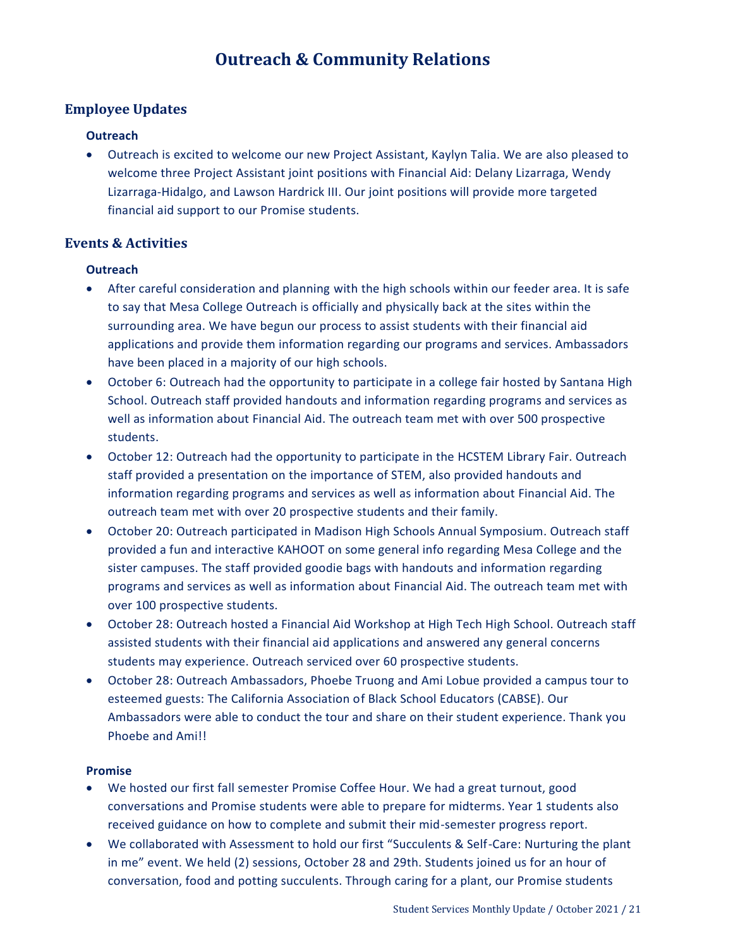## **Outreach & Community Relations**

### <span id="page-20-0"></span>**Employee Updates**

### **Outreach**

 Outreach is excited to welcome our new Project Assistant, Kaylyn Talia. We are also pleased to welcome three Project Assistant joint positions with Financial Aid: Delany Lizarraga, Wendy Lizarraga-Hidalgo, and Lawson Hardrick III. Our joint positions will provide more targeted financial aid support to our Promise students.

### **Events & Activities**

### **Outreach**

- After careful consideration and planning with the high schools within our feeder area. It is safe to say that Mesa College Outreach is officially and physically back at the sites within the surrounding area. We have begun our process to assist students with their financial aid applications and provide them information regarding our programs and services. Ambassadors have been placed in a majority of our high schools.
- October 6: Outreach had the opportunity to participate in a college fair hosted by Santana High School. Outreach staff provided handouts and information regarding programs and services as well as information about Financial Aid. The outreach team met with over 500 prospective students.
- October 12: Outreach had the opportunity to participate in the HCSTEM Library Fair. Outreach staff provided a presentation on the importance of STEM, also provided handouts and information regarding programs and services as well as information about Financial Aid. The outreach team met with over 20 prospective students and their family.
- October 20: Outreach participated in Madison High Schools Annual Symposium. Outreach staff provided a fun and interactive KAHOOT on some general info regarding Mesa College and the sister campuses. The staff provided goodie bags with handouts and information regarding programs and services as well as information about Financial Aid. The outreach team met with over 100 prospective students.
- October 28: Outreach hosted a Financial Aid Workshop at High Tech High School. Outreach staff assisted students with their financial aid applications and answered any general concerns students may experience. Outreach serviced over 60 prospective students.
- October 28: Outreach Ambassadors, Phoebe Truong and Ami Lobue provided a campus tour to esteemed guests: The California Association of Black School Educators (CABSE). Our Ambassadors were able to conduct the tour and share on their student experience. Thank you Phoebe and Ami!!

#### **Promise**

- We hosted our first fall semester Promise Coffee Hour. We had a great turnout, good conversations and Promise students were able to prepare for midterms. Year 1 students also received guidance on how to complete and submit their mid-semester progress report.
- We collaborated with Assessment to hold our first "Succulents & Self-Care: Nurturing the plant in me" event. We held (2) sessions, October 28 and 29th. Students joined us for an hour of conversation, food and potting succulents. Through caring for a plant, our Promise students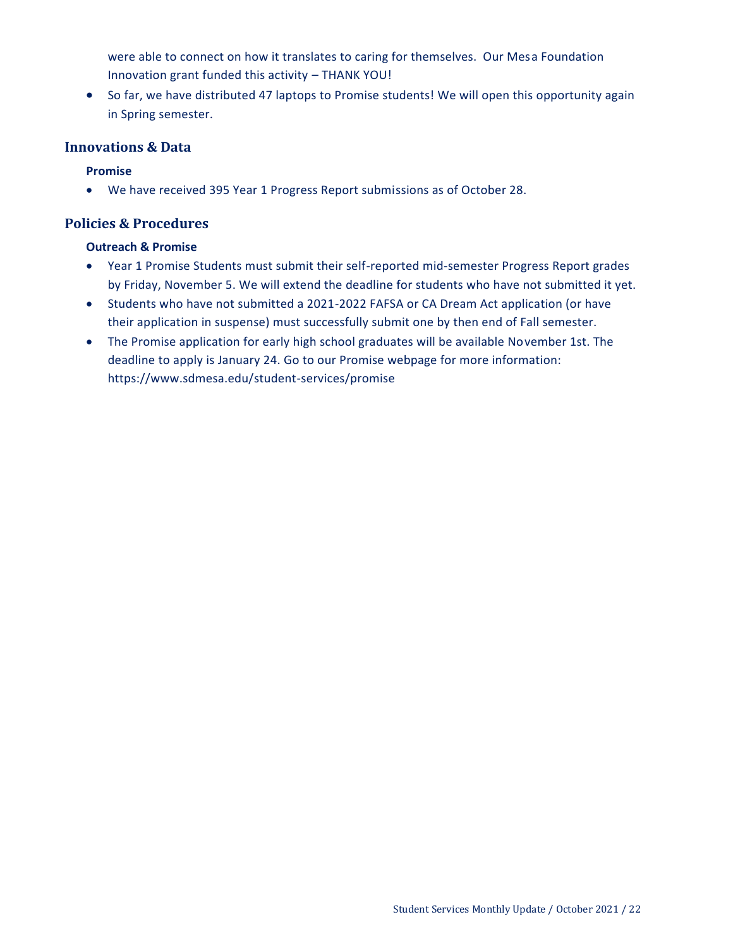were able to connect on how it translates to caring for themselves. Our Mesa Foundation Innovation grant funded this activity – THANK YOU!

• So far, we have distributed 47 laptops to Promise students! We will open this opportunity again in Spring semester.

### **Innovations & Data**

### **Promise**

We have received 395 Year 1 Progress Report submissions as of October 28.

### **Policies & Procedures**

#### **Outreach & Promise**

- Year 1 Promise Students must submit their self-reported mid-semester Progress Report grades by Friday, November 5. We will extend the deadline for students who have not submitted it yet.
- Students who have not submitted a 2021-2022 FAFSA or CA Dream Act application (or have their application in suspense) must successfully submit one by then end of Fall semester.
- The Promise application for early high school graduates will be available November 1st. The deadline to apply is January 24. Go to our Promise webpage for more information: https://www.sdmesa.edu/student-services/promise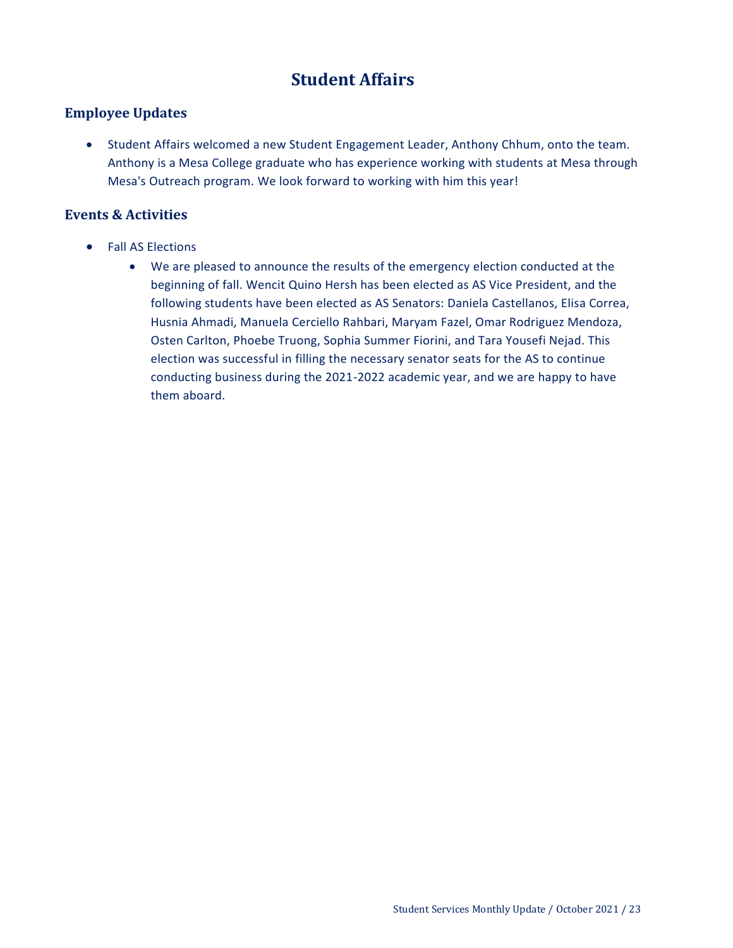## **Student Affairs**

### <span id="page-22-0"></span>**Employee Updates**

 Student Affairs welcomed a new Student Engagement Leader, Anthony Chhum, onto the team. Anthony is a Mesa College graduate who has experience working with students at Mesa through Mesa's Outreach program. We look forward to working with him this year!

### **Events & Activities**

- Fall AS Elections
	- We are pleased to announce the results of the emergency election conducted at the beginning of fall. Wencit Quino Hersh has been elected as AS Vice President, and the following students have been elected as AS Senators: Daniela Castellanos, Elisa Correa, Husnia Ahmadi, Manuela Cerciello Rahbari, Maryam Fazel, Omar Rodriguez Mendoza, Osten Carlton, Phoebe Truong, Sophia Summer Fiorini, and Tara Yousefi Nejad. This election was successful in filling the necessary senator seats for the AS to continue conducting business during the 2021-2022 academic year, and we are happy to have them aboard.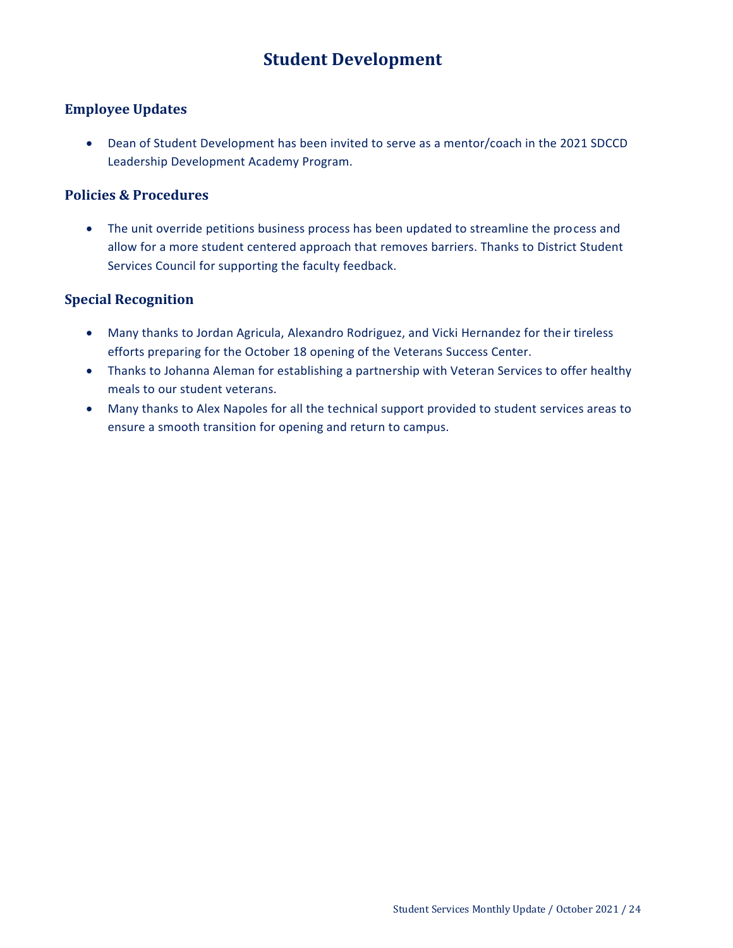# **Student Development**

### <span id="page-23-0"></span>**Employee Updates**

 Dean of Student Development has been invited to serve as a mentor/coach in the 2021 SDCCD Leadership Development Academy Program.

### **Policies & Procedures**

 The unit override petitions business process has been updated to streamline the process and allow for a more student centered approach that removes barriers. Thanks to District Student Services Council for supporting the faculty feedback.

### **Special Recognition**

- Many thanks to Jordan Agricula, Alexandro Rodriguez, and Vicki Hernandez for their tireless efforts preparing for the October 18 opening of the Veterans Success Center.
- Thanks to Johanna Aleman for establishing a partnership with Veteran Services to offer healthy meals to our student veterans.
- Many thanks to Alex Napoles for all the technical support provided to student services areas to ensure a smooth transition for opening and return to campus.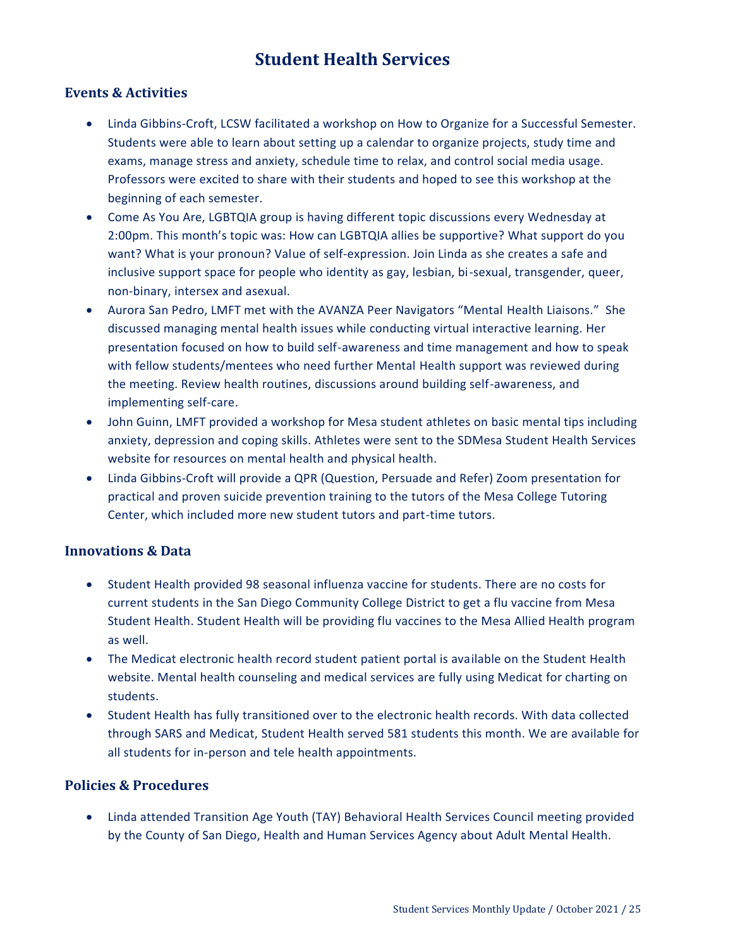### **Student Health Services**

### <span id="page-24-0"></span>**Events & Activities**

- Linda Gibbins-Croft, LCSW facilitated a workshop on How to Organize for a Successful Semester. Students were able to learn about setting up a calendar to organize projects, study time and exams, manage stress and anxiety, schedule time to relax, and control social media usage. Professors were excited to share with their students and hoped to see this workshop at the beginning of each semester.
- Come As You Are, LGBTQIA group is having different topic discussions every Wednesday at 2:00pm. This month's topic was: How can LGBTQIA allies be supportive? What support do you want? What is your pronoun? Value of self-expression. Join Linda as she creates a safe and inclusive support space for people who identity as gay, lesbian, bi-sexual, transgender, queer, non-binary, intersex and asexual.
- Aurora San Pedro, LMFT met with the AVANZA Peer Navigators "Mental Health Liaisons." She discussed managing mental health issues while conducting virtual interactive learning. Her presentation focused on how to build self-awareness and time management and how to speak with fellow students/mentees who need further Mental Health support was reviewed during the meeting. Review health routines, discussions around building self-awareness, and implementing self-care.
- John Guinn, LMFT provided a workshop for Mesa student athletes on basic mental tips including anxiety, depression and coping skills. Athletes were sent to the SDMesa Student Health Services website for resources on mental health and physical health.
- Linda Gibbins-Croft will provide a QPR (Question, Persuade and Refer) Zoom presentation for practical and proven suicide prevention training to the tutors of the Mesa College Tutoring Center, which included more new student tutors and part-time tutors.

### **Innovations & Data**

- Student Health provided 98 seasonal influenza vaccine for students. There are no costs for current students in the San Diego Community College District to get a flu vaccine from Mesa Student Health. Student Health will be providing flu vaccines to the Mesa Allied Health program as well.
- The Medicat electronic health record student patient portal is available on the Student Health website. Mental health counseling and medical services are fully using Medicat for charting on students.
- Student Health has fully transitioned over to the electronic health records. With data collected through SARS and Medicat, Student Health served 581 students this month. We are available for all students for in-person and tele health appointments.

### **Policies & Procedures**

 Linda attended Transition Age Youth (TAY) Behavioral Health Services Council meeting provided by the County of San Diego, Health and Human Services Agency about Adult Mental Health.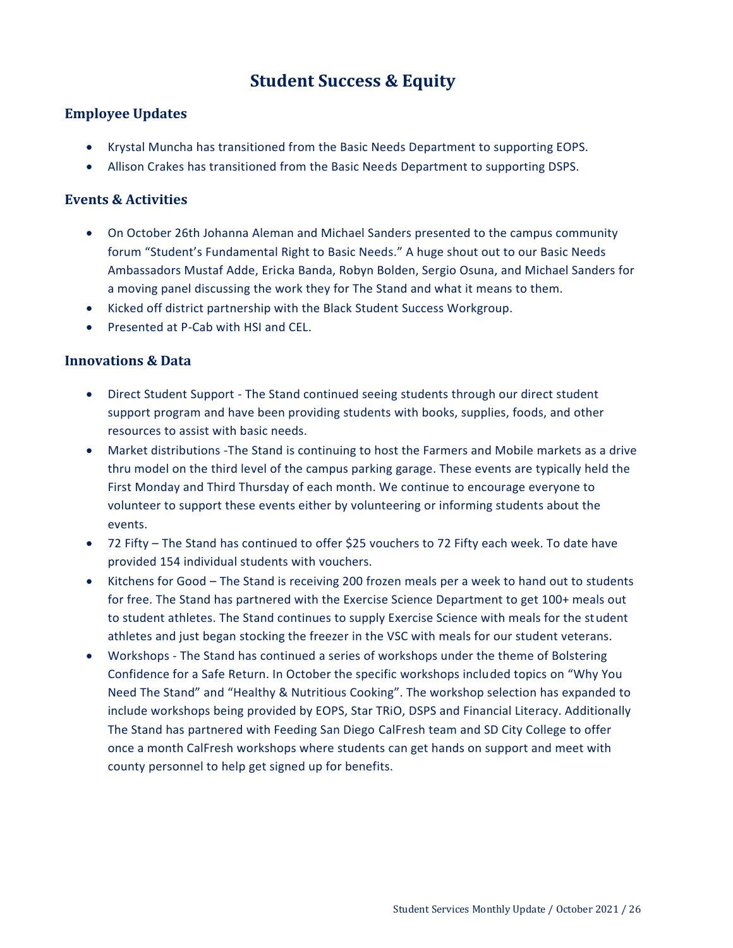## **Student Success & Equity**

### <span id="page-25-0"></span>**Employee Updates**

- Krystal Muncha has transitioned from the Basic Needs Department to supporting EOPS.
- Allison Crakes has transitioned from the Basic Needs Department to supporting DSPS.

### **Events & Activities**

- On October 26th Johanna Aleman and Michael Sanders presented to the campus community forum "Student's Fundamental Right to Basic Needs." A huge shout out to our Basic Needs Ambassadors Mustaf Adde, Ericka Banda, Robyn Bolden, Sergio Osuna, and Michael Sanders for a moving panel discussing the work they for The Stand and what it means to them.
- Kicked off district partnership with the Black Student Success Workgroup.
- **•** Presented at P-Cab with HSI and CFL.

### **Innovations & Data**

- Direct Student Support The Stand continued seeing students through our direct student support program and have been providing students with books, supplies, foods, and other resources to assist with basic needs.
- Market distributions -The Stand is continuing to host the Farmers and Mobile markets as a drive thru model on the third level of the campus parking garage. These events are typically held the First Monday and Third Thursday of each month. We continue to encourage everyone to volunteer to support these events either by volunteering or informing students about the events.
- 72 Fifty The Stand has continued to offer \$25 vouchers to 72 Fifty each week. To date have provided 154 individual students with vouchers.
- Kitchens for Good The Stand is receiving 200 frozen meals per a week to hand out to students for free. The Stand has partnered with the Exercise Science Department to get 100+ meals out to student athletes. The Stand continues to supply Exercise Science with meals for the student athletes and just began stocking the freezer in the VSC with meals for our student veterans.
- Workshops The Stand has continued a series of workshops under the theme of Bolstering Confidence for a Safe Return. In October the specific workshops included topics on "Why You Need The Stand" and "Healthy & Nutritious Cooking". The workshop selection has expanded to include workshops being provided by EOPS, Star TRiO, DSPS and Financial Literacy. Additionally The Stand has partnered with Feeding San Diego CalFresh team and SD City College to offer once a month CalFresh workshops where students can get hands on support and meet with county personnel to help get signed up for benefits.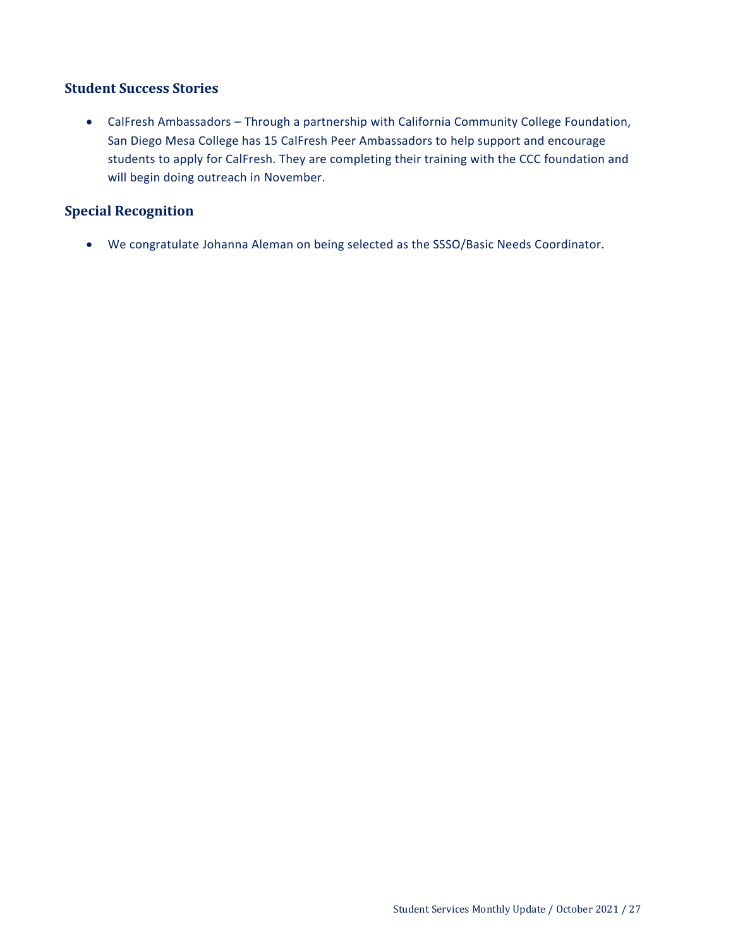### **Student Success Stories**

 CalFresh Ambassadors – Through a partnership with California Community College Foundation, San Diego Mesa College has 15 CalFresh Peer Ambassadors to help support and encourage students to apply for CalFresh. They are completing their training with the CCC foundation and will begin doing outreach in November.

### **Special Recognition**

We congratulate Johanna Aleman on being selected as the SSSO/Basic Needs Coordinator.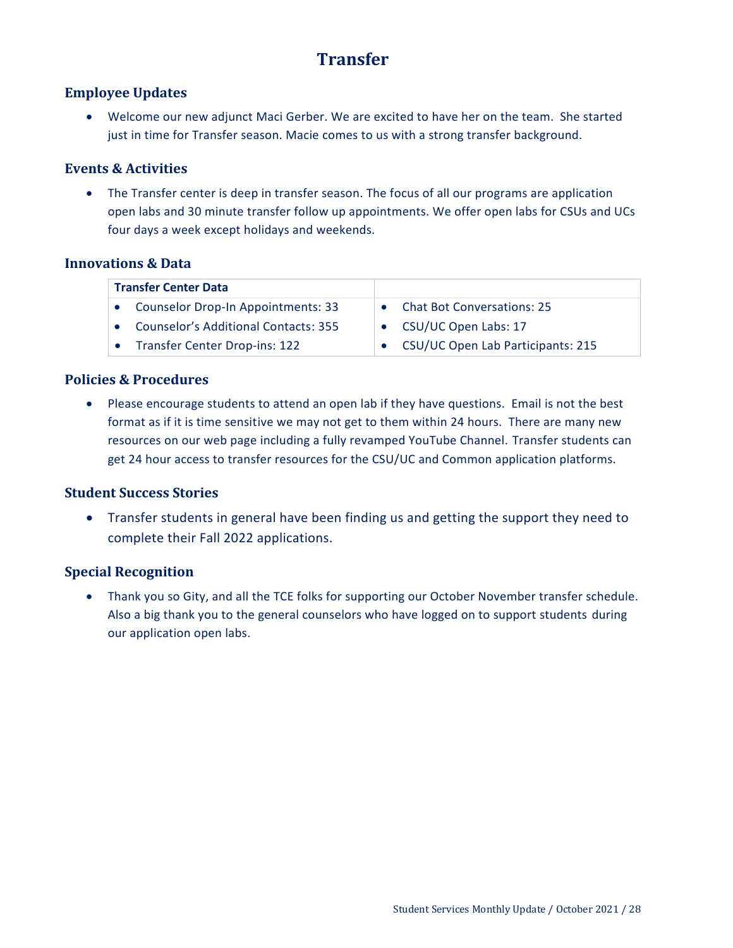# **Transfer**

### <span id="page-27-0"></span>**Employee Updates**

 Welcome our new adjunct Maci Gerber. We are excited to have her on the team. She started just in time for Transfer season. Macie comes to us with a strong transfer background.

### **Events & Activities**

• The Transfer center is deep in transfer season. The focus of all our programs are application open labs and 30 minute transfer follow up appointments. We offer open labs for CSUs and UCs four days a week except holidays and weekends.

### **Innovations & Data**

| <b>Transfer Center Data</b>                 |                                   |
|---------------------------------------------|-----------------------------------|
| <b>Counselor Drop-In Appointments: 33</b>   | • Chat Bot Conversations: 25      |
| <b>Counselor's Additional Contacts: 355</b> | • CSU/UC Open Labs: 17            |
| <b>Transfer Center Drop-ins: 122</b>        | CSU/UC Open Lab Participants: 215 |
|                                             |                                   |

### **Policies & Procedures**

 Please encourage students to attend an open lab if they have questions. Email is not the best format as if it is time sensitive we may not get to them within 24 hours. There are many new resources on our web page including a fully revamped YouTube Channel. Transfer students can get 24 hour access to transfer resources for the CSU/UC and Common application platforms.

### **Student Success Stories**

 Transfer students in general have been finding us and getting the support they need to complete their Fall 2022 applications.

### **Special Recognition**

 Thank you so Gity, and all the TCE folks for supporting our October November transfer schedule. Also a big thank you to the general counselors who have logged on to support students during our application open labs.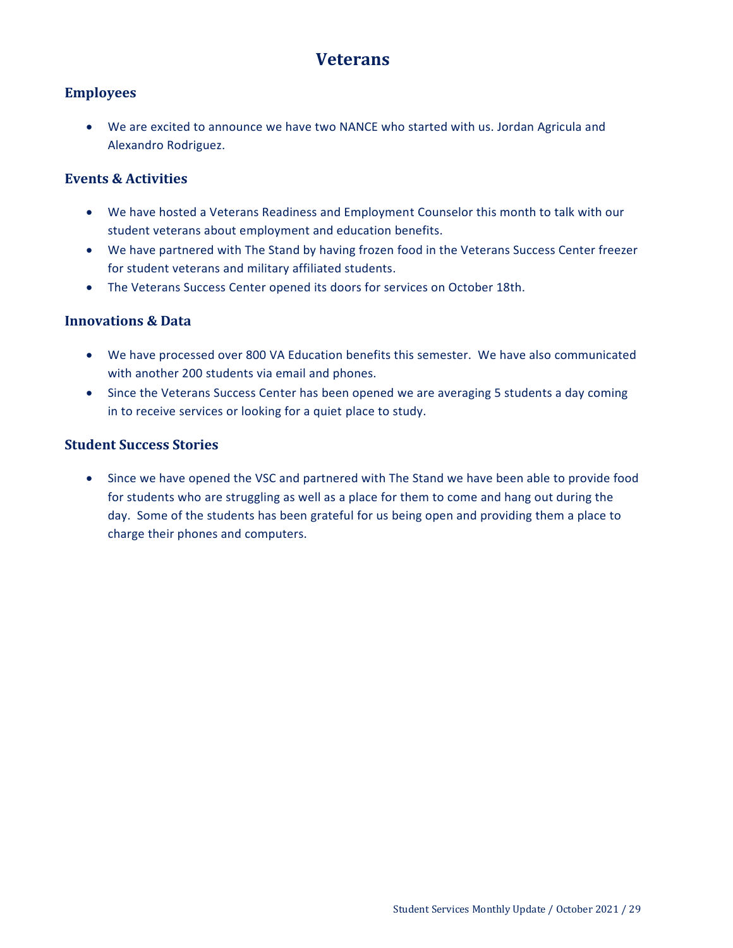### **Veterans**

### <span id="page-28-0"></span>**Employees**

 We are excited to announce we have two NANCE who started with us. Jordan Agricula and Alexandro Rodriguez.

### **Events & Activities**

- We have hosted a Veterans Readiness and Employment Counselor this month to talk with our student veterans about employment and education benefits.
- We have partnered with The Stand by having frozen food in the Veterans Success Center freezer for student veterans and military affiliated students.
- The Veterans Success Center opened its doors for services on October 18th.

### **Innovations & Data**

- We have processed over 800 VA Education benefits this semester. We have also communicated with another 200 students via email and phones.
- Since the Veterans Success Center has been opened we are averaging 5 students a day coming in to receive services or looking for a quiet place to study.

### **Student Success Stories**

 Since we have opened the VSC and partnered with The Stand we have been able to provide food for students who are struggling as well as a place for them to come and hang out during the day. Some of the students has been grateful for us being open and providing them a place to charge their phones and computers.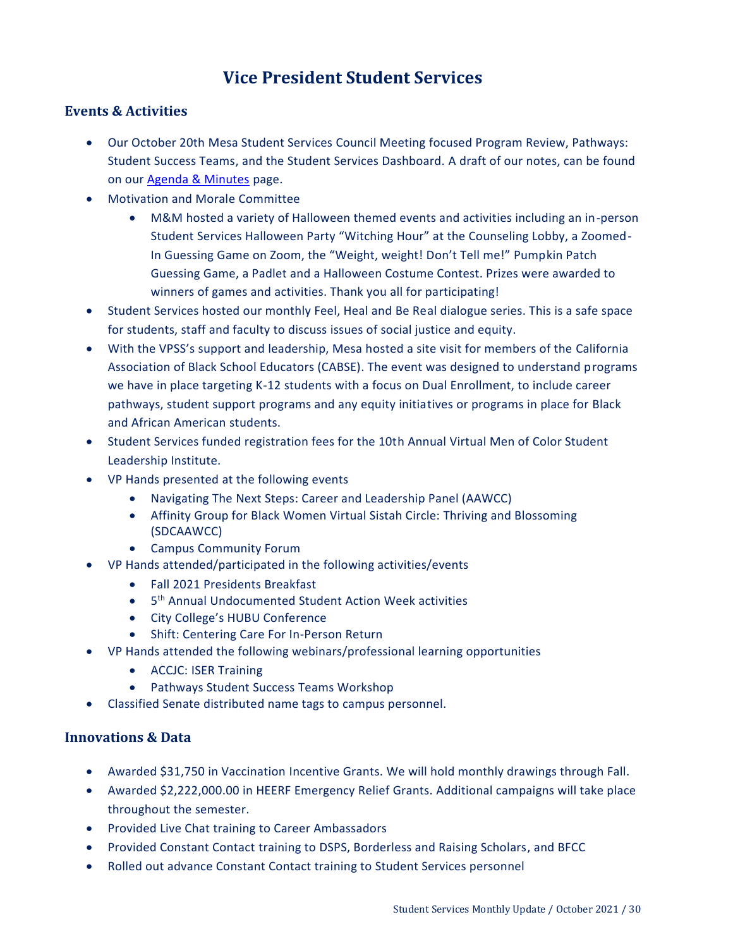# **Vice President Student Services**

### <span id="page-29-0"></span>**Events & Activities**

- Our October 20th Mesa Student Services Council Meeting focused Program Review, Pathways: Student Success Teams, and the Student Services Dashboard. A draft of our notes, can be found on our [Agenda & Minutes](https://www.sdmesa.edu/about-mesa/governance/committees/student-services-agendas-minutes-and-documents/student-services-agendas-minutes.shtml) page.
- Motivation and Morale Committee
	- M&M hosted a variety of Halloween themed events and activities including an in-person Student Services Halloween Party "Witching Hour" at the Counseling Lobby, a Zoomed-In Guessing Game on Zoom, the "Weight, weight! Don't Tell me!" Pumpkin Patch Guessing Game, a Padlet and a Halloween Costume Contest. Prizes were awarded to winners of games and activities. Thank you all for participating!
- Student Services hosted our monthly Feel, Heal and Be Real dialogue series. This is a safe space for students, staff and faculty to discuss issues of social justice and equity.
- With the VPSS's support and leadership, Mesa hosted a site visit for members of the California Association of Black School Educators (CABSE). The event was designed to understand programs we have in place targeting K-12 students with a focus on Dual Enrollment, to include career pathways, student support programs and any equity initiatives or programs in place for Black and African American students.
- Student Services funded registration fees for the 10th Annual Virtual Men of Color Student Leadership Institute.
- VP Hands presented at the following events
	- Navigating The Next Steps: Career and Leadership Panel (AAWCC)
	- Affinity Group for Black Women Virtual Sistah Circle: Thriving and Blossoming (SDCAAWCC)
	- Campus Community Forum
- VP Hands attended/participated in the following activities/events
	- Fall 2021 Presidents Breakfast
	- 5<sup>th</sup> Annual Undocumented Student Action Week activities
	- City College's HUBU Conference
	- Shift: Centering Care For In-Person Return
- VP Hands attended the following webinars/professional learning opportunities
	- ACCJC: ISER Training
	- Pathways Student Success Teams Workshop
- Classified Senate distributed name tags to campus personnel.

### **Innovations & Data**

- Awarded \$31,750 in Vaccination Incentive Grants. We will hold monthly drawings through Fall.
- Awarded \$2,222,000.00 in HEERF Emergency Relief Grants. Additional campaigns will take place throughout the semester.
- Provided Live Chat training to Career Ambassadors
- Provided Constant Contact training to DSPS, Borderless and Raising Scholars, and BFCC
- Rolled out advance Constant Contact training to Student Services personnel